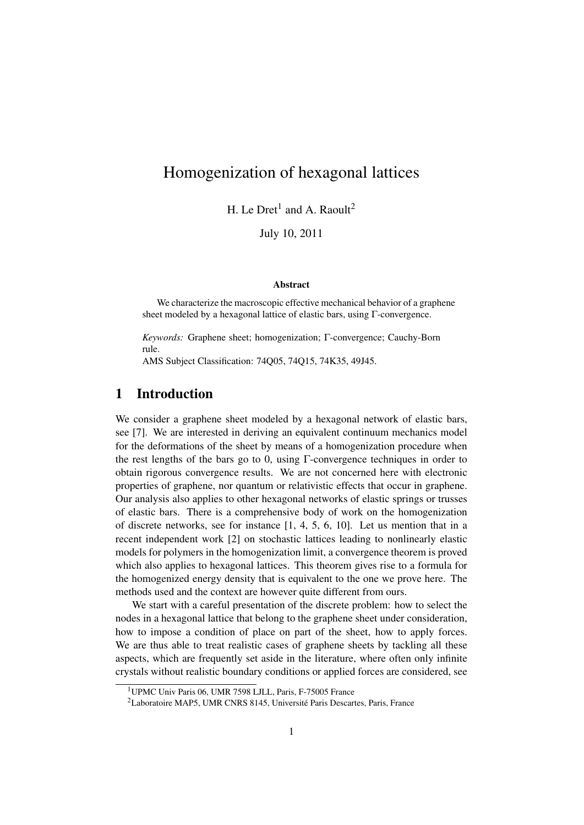# Homogenization of hexagonal lattices

H. Le Dret<sup>1</sup> and A. Raoult<sup>2</sup>

July 10, 2011

#### Abstract

We characterize the macroscopic effective mechanical behavior of a graphene sheet modeled by a hexagonal lattice of elastic bars, using Γ-convergence.

*Keywords:* Graphene sheet; homogenization; Γ-convergence; Cauchy-Born rule.

AMS Subject Classification: 74Q05, 74Q15, 74K35, 49J45.

# 1 Introduction

We consider a graphene sheet modeled by a hexagonal network of elastic bars, see [7]. We are interested in deriving an equivalent continuum mechanics model for the deformations of the sheet by means of a homogenization procedure when the rest lengths of the bars go to 0, using Γ-convergence techniques in order to obtain rigorous convergence results. We are not concerned here with electronic properties of graphene, nor quantum or relativistic effects that occur in graphene. Our analysis also applies to other hexagonal networks of elastic springs or trusses of elastic bars. There is a comprehensive body of work on the homogenization of discrete networks, see for instance [1, 4, 5, 6, 10]. Let us mention that in a recent independent work [2] on stochastic lattices leading to nonlinearly elastic models for polymers in the homogenization limit, a convergence theorem is proved which also applies to hexagonal lattices. This theorem gives rise to a formula for the homogenized energy density that is equivalent to the one we prove here. The methods used and the context are however quite different from ours.

We start with a careful presentation of the discrete problem: how to select the nodes in a hexagonal lattice that belong to the graphene sheet under consideration, how to impose a condition of place on part of the sheet, how to apply forces. We are thus able to treat realistic cases of graphene sheets by tackling all these aspects, which are frequently set aside in the literature, where often only infinite crystals without realistic boundary conditions or applied forces are considered, see

<sup>&</sup>lt;sup>1</sup>UPMC Univ Paris 06, UMR 7598 LJLL, Paris, F-75005 France

<sup>2</sup>Laboratoire MAP5, UMR CNRS 8145, Université Paris Descartes, Paris, France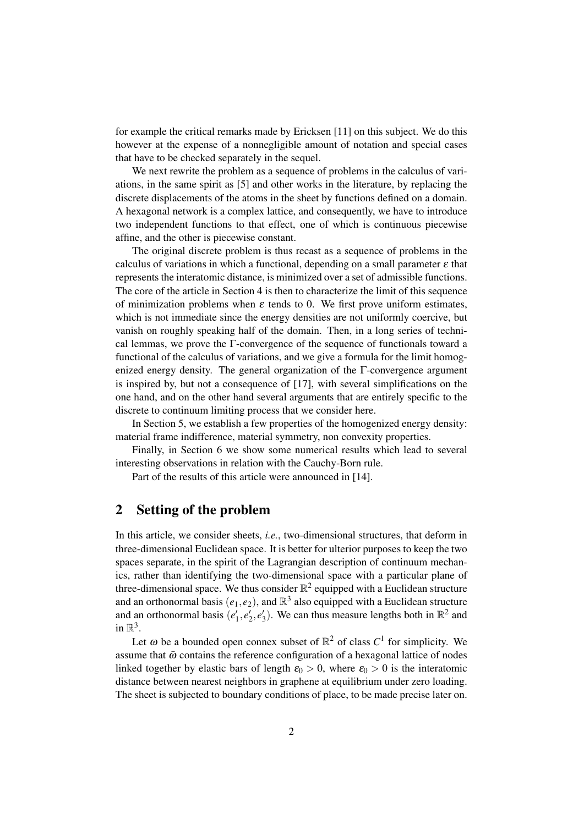for example the critical remarks made by Ericksen [11] on this subject. We do this however at the expense of a nonnegligible amount of notation and special cases that have to be checked separately in the sequel.

We next rewrite the problem as a sequence of problems in the calculus of variations, in the same spirit as [5] and other works in the literature, by replacing the discrete displacements of the atoms in the sheet by functions defined on a domain. A hexagonal network is a complex lattice, and consequently, we have to introduce two independent functions to that effect, one of which is continuous piecewise affine, and the other is piecewise constant.

The original discrete problem is thus recast as a sequence of problems in the calculus of variations in which a functional, depending on a small parameter  $\varepsilon$  that represents the interatomic distance, is minimized over a set of admissible functions. The core of the article in Section 4 is then to characterize the limit of this sequence of minimization problems when  $\varepsilon$  tends to 0. We first prove uniform estimates, which is not immediate since the energy densities are not uniformly coercive, but vanish on roughly speaking half of the domain. Then, in a long series of technical lemmas, we prove the Γ-convergence of the sequence of functionals toward a functional of the calculus of variations, and we give a formula for the limit homogenized energy density. The general organization of the Γ-convergence argument is inspired by, but not a consequence of [17], with several simplifications on the one hand, and on the other hand several arguments that are entirely specific to the discrete to continuum limiting process that we consider here.

In Section 5, we establish a few properties of the homogenized energy density: material frame indifference, material symmetry, non convexity properties.

Finally, in Section 6 we show some numerical results which lead to several interesting observations in relation with the Cauchy-Born rule.

Part of the results of this article were announced in [14].

# 2 Setting of the problem

In this article, we consider sheets, *i.e.*, two-dimensional structures, that deform in three-dimensional Euclidean space. It is better for ulterior purposes to keep the two spaces separate, in the spirit of the Lagrangian description of continuum mechanics, rather than identifying the two-dimensional space with a particular plane of three-dimensional space. We thus consider  $\mathbb{R}^2$  equipped with a Euclidean structure and an orthonormal basis  $(e_1, e_2)$ , and  $\mathbb{R}^3$  also equipped with a Euclidean structure and an orthonormal basis  $(e'_1, e'_2, e'_3)$ . We can thus measure lengths both in  $\mathbb{R}^2$  and in  $\mathbb{R}^3$ .

Let  $\omega$  be a bounded open connex subset of  $\mathbb{R}^2$  of class  $C^1$  for simplicity. We assume that  $\bar{\omega}$  contains the reference configuration of a hexagonal lattice of nodes linked together by elastic bars of length  $\varepsilon_0 > 0$ , where  $\varepsilon_0 > 0$  is the interatomic distance between nearest neighbors in graphene at equilibrium under zero loading. The sheet is subjected to boundary conditions of place, to be made precise later on.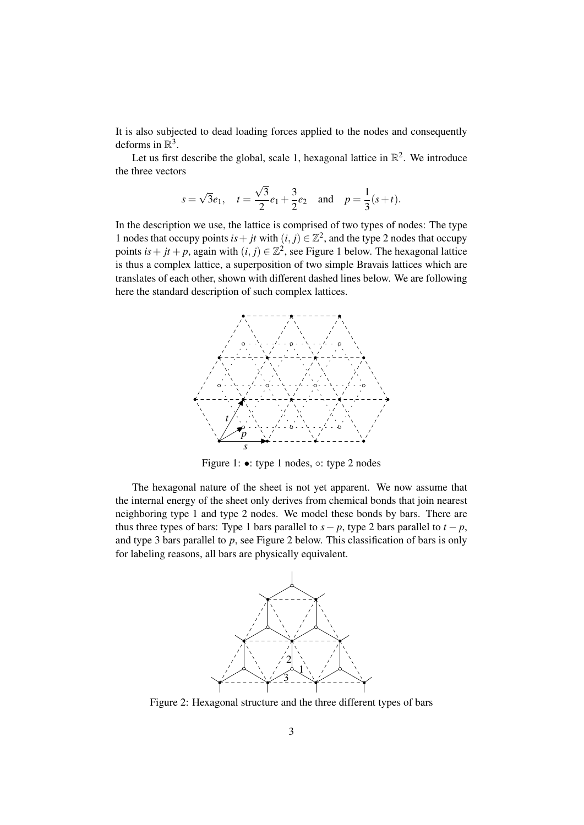It is also subjected to dead loading forces applied to the nodes and consequently deforms in  $\mathbb{R}^3$ .

Let us first describe the global, scale 1, hexagonal lattice in  $\mathbb{R}^2$ . We introduce the three vectors

$$
s = \sqrt{3}e_1
$$
,  $t = \frac{\sqrt{3}}{2}e_1 + \frac{3}{2}e_2$  and  $p = \frac{1}{3}(s+t)$ .

In the description we use, the lattice is comprised of two types of nodes: The type 1 nodes that occupy points  $is + jt$  with  $(i, j) \in \mathbb{Z}^2$ , and the type 2 nodes that occupy points  $is + jt + p$ , again with  $(i, j) \in \mathbb{Z}^2$ , see Figure 1 below. The hexagonal lattice is thus a complex lattice, a superposition of two simple Bravais lattices which are translates of each other, shown with different dashed lines below. We are following here the standard description of such complex lattices.



Figure 1: •: type 1 nodes, ◦: type 2 nodes

The hexagonal nature of the sheet is not yet apparent. We now assume that the internal energy of the sheet only derives from chemical bonds that join nearest neighboring type 1 and type 2 nodes. We model these bonds by bars. There are thus three types of bars: Type 1 bars parallel to  $s - p$ , type 2 bars parallel to  $t - p$ , and type 3 bars parallel to *p*, see Figure 2 below. This classification of bars is only for labeling reasons, all bars are physically equivalent.



Figure 2: Hexagonal structure and the three different types of bars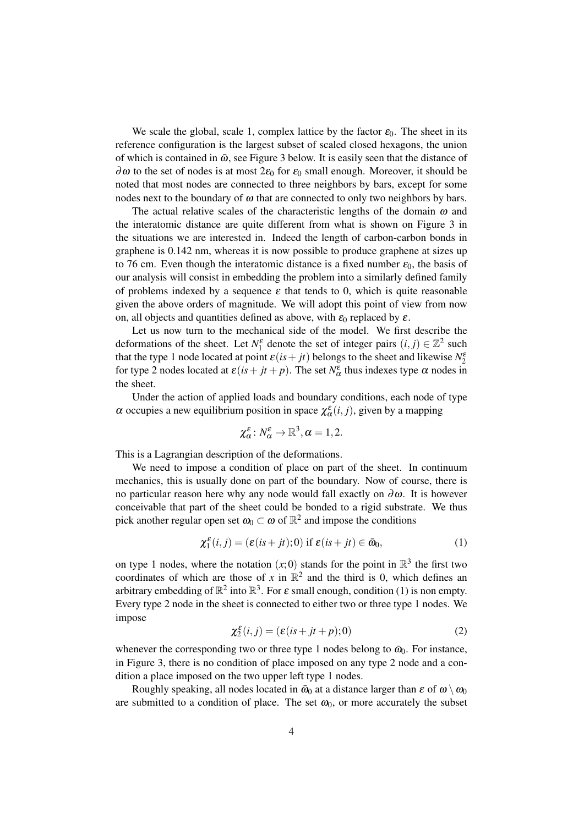We scale the global, scale 1, complex lattice by the factor  $\varepsilon_0$ . The sheet in its reference configuration is the largest subset of scaled closed hexagons, the union of which is contained in  $\bar{\omega}$ , see Figure 3 below. It is easily seen that the distance of  $\partial \omega$  to the set of nodes is at most  $2\varepsilon_0$  for  $\varepsilon_0$  small enough. Moreover, it should be noted that most nodes are connected to three neighbors by bars, except for some nodes next to the boundary of  $\omega$  that are connected to only two neighbors by bars.

The actual relative scales of the characteristic lengths of the domain  $\omega$  and the interatomic distance are quite different from what is shown on Figure 3 in the situations we are interested in. Indeed the length of carbon-carbon bonds in graphene is 0.142 nm, whereas it is now possible to produce graphene at sizes up to 76 cm. Even though the interatomic distance is a fixed number  $\varepsilon_0$ , the basis of our analysis will consist in embedding the problem into a similarly defined family of problems indexed by a sequence  $\varepsilon$  that tends to 0, which is quite reasonable given the above orders of magnitude. We will adopt this point of view from now on, all objects and quantities defined as above, with  $\varepsilon_0$  replaced by  $\varepsilon$ .

Let us now turn to the mechanical side of the model. We first describe the deformations of the sheet. Let  $N_1^{\varepsilon}$  denote the set of integer pairs  $(i, j) \in \mathbb{Z}^2$  such that the type 1 node located at point  $\varepsilon (is + jt)$  belongs to the sheet and likewise  $N_2^{\varepsilon}$ for type 2 nodes located at  $\varepsilon (is + jt + p)$ . The set  $N_{\alpha}^{\varepsilon}$  thus indexes type  $\alpha$  nodes in the sheet.

Under the action of applied loads and boundary conditions, each node of type  $\alpha$  occupies a new equilibrium position in space  $\chi^{\varepsilon}_{\alpha}(i, j)$ , given by a mapping

$$
\chi_{\alpha}^{\varepsilon} \colon N_{\alpha}^{\varepsilon} \to \mathbb{R}^3, \alpha = 1, 2.
$$

This is a Lagrangian description of the deformations.

We need to impose a condition of place on part of the sheet. In continuum mechanics, this is usually done on part of the boundary. Now of course, there is no particular reason here why any node would fall exactly on  $\partial \omega$ . It is however conceivable that part of the sheet could be bonded to a rigid substrate. We thus pick another regular open set  $\omega_0 \subset \omega$  of  $\mathbb{R}^2$  and impose the conditions

$$
\chi_1^{\varepsilon}(i,j) = (\varepsilon(is+jt);0) \text{ if } \varepsilon(is+jt) \in \bar{\omega}_0,
$$
\n(1)

on type 1 nodes, where the notation  $(x, 0)$  stands for the point in  $\mathbb{R}^3$  the first two coordinates of which are those of x in  $\mathbb{R}^2$  and the third is 0, which defines an arbitrary embedding of  $\mathbb{R}^2$  into  $\mathbb{R}^3$ . For  $\varepsilon$  small enough, condition (1) is non empty. Every type 2 node in the sheet is connected to either two or three type 1 nodes. We impose

$$
\chi_2^{\varepsilon}(i,j) = (\varepsilon(is+jt+p);0)
$$
\n(2)

whenever the corresponding two or three type 1 nodes belong to  $\bar{\omega}_0$ . For instance, in Figure 3, there is no condition of place imposed on any type 2 node and a condition a place imposed on the two upper left type 1 nodes.

Roughly speaking, all nodes located in  $\bar{\omega}_0$  at a distance larger than  $\varepsilon$  of  $\omega \setminus \omega_0$ are submitted to a condition of place. The set  $\omega_0$ , or more accurately the subset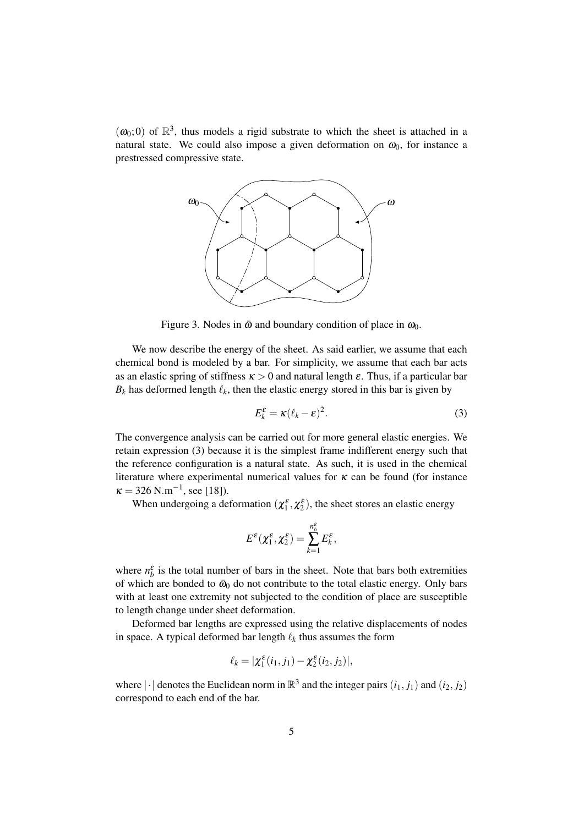$(\omega_0; 0)$  of  $\mathbb{R}^3$ , thus models a rigid substrate to which the sheet is attached in a natural state. We could also impose a given deformation on  $\omega_0$ , for instance a prestressed compressive state.



Figure 3. Nodes in  $\bar{\omega}$  and boundary condition of place in  $\omega_0$ .

We now describe the energy of the sheet. As said earlier, we assume that each chemical bond is modeled by a bar. For simplicity, we assume that each bar acts as an elastic spring of stiffness  $\kappa > 0$  and natural length  $\varepsilon$ . Thus, if a particular bar  $B_k$  has deformed length  $\ell_k$ , then the elastic energy stored in this bar is given by

$$
E_k^{\varepsilon} = \kappa (\ell_k - \varepsilon)^2. \tag{3}
$$

The convergence analysis can be carried out for more general elastic energies. We retain expression (3) because it is the simplest frame indifferent energy such that the reference configuration is a natural state. As such, it is used in the chemical literature where experimental numerical values for  $\kappa$  can be found (for instance  $\kappa = 326$  N.m<sup>-1</sup>, see [18]).

When undergoing a deformation  $(\chi_1^{\varepsilon}, \chi_2^{\varepsilon})$ , the sheet stores an elastic energy

$$
E^{\boldsymbol{\varepsilon}}(\boldsymbol{\chi}^{\boldsymbol{\varepsilon}}_1, \boldsymbol{\chi}^{\boldsymbol{\varepsilon}}_2) = \sum_{k=1}^{n^{\boldsymbol{\varepsilon}}_b} E^{\boldsymbol{\varepsilon}}_k,
$$

where  $n_b^{\varepsilon}$  is the total number of bars in the sheet. Note that bars both extremities of which are bonded to  $\bar{\omega}_0$  do not contribute to the total elastic energy. Only bars with at least one extremity not subjected to the condition of place are susceptible to length change under sheet deformation.

Deformed bar lengths are expressed using the relative displacements of nodes in space. A typical deformed bar length  $\ell_k$  thus assumes the form

$$
\ell_k = |\chi_1^{\varepsilon}(i_1,j_1) - \chi_2^{\varepsilon}(i_2,j_2)|,
$$

where  $|\cdot|$  denotes the Euclidean norm in  $\mathbb{R}^3$  and the integer pairs  $(i_1, j_1)$  and  $(i_2, j_2)$ correspond to each end of the bar.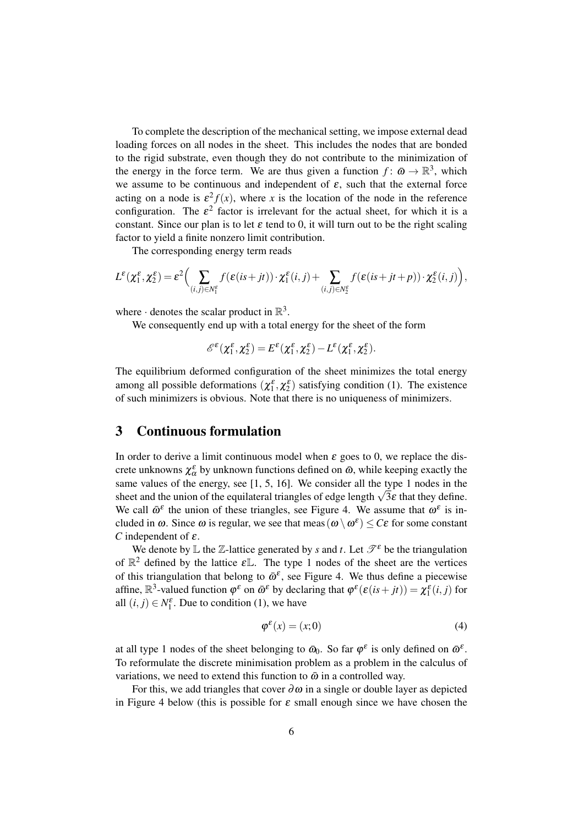To complete the description of the mechanical setting, we impose external dead loading forces on all nodes in the sheet. This includes the nodes that are bonded to the rigid substrate, even though they do not contribute to the minimization of the energy in the force term. We are thus given a function  $f: \bar{\omega} \to \mathbb{R}^3$ , which we assume to be continuous and independent of  $\varepsilon$ , such that the external force acting on a node is  $\varepsilon^2 f(x)$ , where *x* is the location of the node in the reference configuration. The  $\varepsilon^2$  factor is irrelevant for the actual sheet, for which it is a constant. Since our plan is to let  $\varepsilon$  tend to 0, it will turn out to be the right scaling factor to yield a finite nonzero limit contribution.

The corresponding energy term reads

$$
L^{\varepsilon}(\chi_1^{\varepsilon},\chi_2^{\varepsilon})=\varepsilon^2\Big(\sum_{(i,j)\in N_1^{\varepsilon}}f(\varepsilon(is+jt))\cdot\chi_1^{\varepsilon}(i,j)+\sum_{(i,j)\in N_2^{\varepsilon}}f(\varepsilon(is+jt+p))\cdot\chi_2^{\varepsilon}(i,j)\Big),
$$

where  $\cdot$  denotes the scalar product in  $\mathbb{R}^3$ .

We consequently end up with a total energy for the sheet of the form

$$
\mathscr{E}^\varepsilon(\chi_1^\varepsilon,\chi_2^\varepsilon)=E^\varepsilon(\chi_1^\varepsilon,\chi_2^\varepsilon)-L^\varepsilon(\chi_1^\varepsilon,\chi_2^\varepsilon).
$$

The equilibrium deformed configuration of the sheet minimizes the total energy among all possible deformations  $(\chi_1^{\varepsilon}, \chi_2^{\varepsilon})$  satisfying condition (1). The existence of such minimizers is obvious. Note that there is no uniqueness of minimizers.

# 3 Continuous formulation

In order to derive a limit continuous model when  $\varepsilon$  goes to 0, we replace the discrete unknowns  $\chi^{\varepsilon}_{\alpha}$  by unknown functions defined on  $\bar{\omega}$ , while keeping exactly the same values of the energy, see [1, 5, 16]. We consider all the type 1 nodes in the same values of the energy, see [1, 3, 10]. We consider an the type 1 hodes in the sheet and the union of the equilateral triangles of edge length  $\sqrt{3}\varepsilon$  that they define. We call  $\bar{\omega}^{\varepsilon}$  the union of these triangles, see Figure 4. We assume that  $\omega^{\varepsilon}$  is included in  $\omega$ . Since  $\omega$  is regular, we see that meas  $(\omega \setminus \omega^{\epsilon}) \leq C \epsilon$  for some constant *C* independent of ε.

We denote by  $\mathbb L$  the  $\mathbb Z$ -lattice generated by *s* and *t*. Let  $\mathscr T^{\varepsilon}$  be the triangulation of  $\mathbb{R}^2$  defined by the lattice  $\varepsilon \mathbb{L}$ . The type 1 nodes of the sheet are the vertices of this triangulation that belong to  $\bar{\omega}^{\varepsilon}$ , see Figure 4. We thus define a piecewise affine,  $\mathbb{R}^3$ -valued function  $\varphi^{\varepsilon}$  on  $\bar{\omega}^{\varepsilon}$  by declaring that  $\varphi^{\varepsilon}(\varepsilon(i s + j t)) = \chi_1^{\varepsilon}(i, j)$  for all  $(i, j) \in N_1^{\varepsilon}$ . Due to condition (1), we have

$$
\varphi^{\varepsilon}(x) = (x; 0) \tag{4}
$$

at all type 1 nodes of the sheet belonging to  $\bar{\omega}_0$ . So far  $\varphi^{\varepsilon}$  is only defined on  $\bar{\omega}^{\varepsilon}$ . To reformulate the discrete minimisation problem as a problem in the calculus of variations, we need to extend this function to  $\bar{\omega}$  in a controlled way.

For this, we add triangles that cover  $\partial \omega$  in a single or double layer as depicted in Figure 4 below (this is possible for  $\varepsilon$  small enough since we have chosen the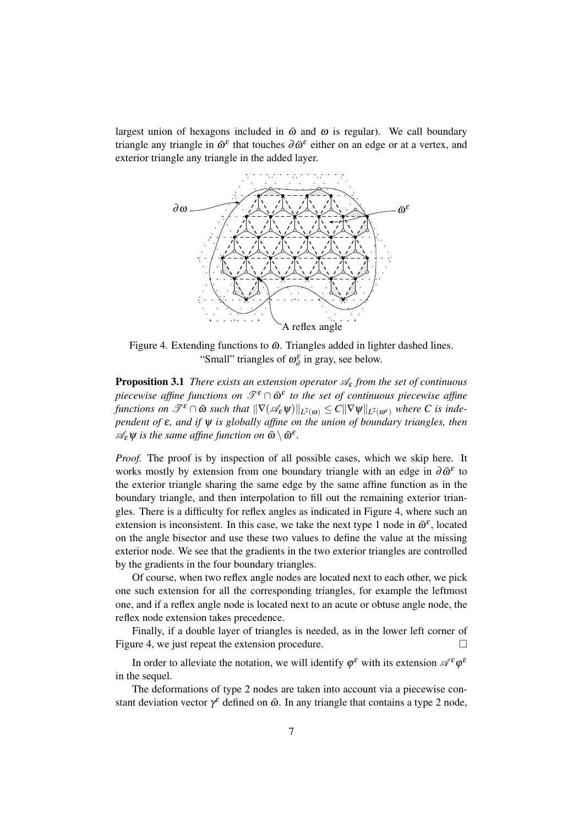largest union of hexagons included in  $\bar{\omega}$  and  $\omega$  is regular). We call boundary triangle any triangle in  $\bar{\omega}^{\varepsilon}$  that touches  $\partial \bar{\omega}^{\varepsilon}$  either on an edge or at a vertex, and exterior triangle any triangle in the added layer.



Figure 4. Extending functions to  $\bar{\omega}$ . Triangles added in lighter dashed lines. "Small" triangles of  $\omega_{\partial}^{\varepsilon}$  in gray, see below.

**Proposition 3.1** *There exists an extension operator*  $\mathcal{A}_{\epsilon}$  *from the set of continuous piecewise affine functions on*  $\mathscr{T}^{\epsilon} \cap \bar{\omega}^{\epsilon}$  *to the set of continuous piecewise affine functions on*  $\mathscr{T}^{\varepsilon} \cap \bar{\omega}$  *such that*  $\|\nabla(\mathscr{A}_{\varepsilon} \psi)\|_{L^{2}(\omega)} \leq C\|\nabla \psi\|_{L^{2}(\omega^{\varepsilon})}$  where C is inde*pendent of* ε*, and if* ψ *is globally affine on the union of boundary triangles, then*  $\mathscr{A}_{\varepsilon} \psi$  is the same affine function on  $\bar{\omega} \setminus \bar{\omega}^{\varepsilon}$ .

*Proof.* The proof is by inspection of all possible cases, which we skip here. It works mostly by extension from one boundary triangle with an edge in  $\partial \bar{\omega}^{\varepsilon}$  to the exterior triangle sharing the same edge by the same affine function as in the boundary triangle, and then interpolation to fill out the remaining exterior triangles. There is a difficulty for reflex angles as indicated in Figure 4, where such an extension is inconsistent. In this case, we take the next type 1 node in  $\bar{\omega}^{\varepsilon}$ , located on the angle bisector and use these two values to define the value at the missing exterior node. We see that the gradients in the two exterior triangles are controlled by the gradients in the four boundary triangles.

Of course, when two reflex angle nodes are located next to each other, we pick one such extension for all the corresponding triangles, for example the leftmost one, and if a reflex angle node is located next to an acute or obtuse angle node, the reflex node extension takes precedence.

Finally, if a double layer of triangles is needed, as in the lower left corner of Figure 4, we just repeat the extension procedure.

In order to alleviate the notation, we will identify  $\varphi^{\varepsilon}$  with its extension  $\mathscr{A}^{\varepsilon} \varphi^{\varepsilon}$ in the sequel.

The deformations of type 2 nodes are taken into account via a piecewise constant deviation vector  $\gamma^{\varepsilon}$  defined on  $\bar{\omega}$ . In any triangle that contains a type 2 node,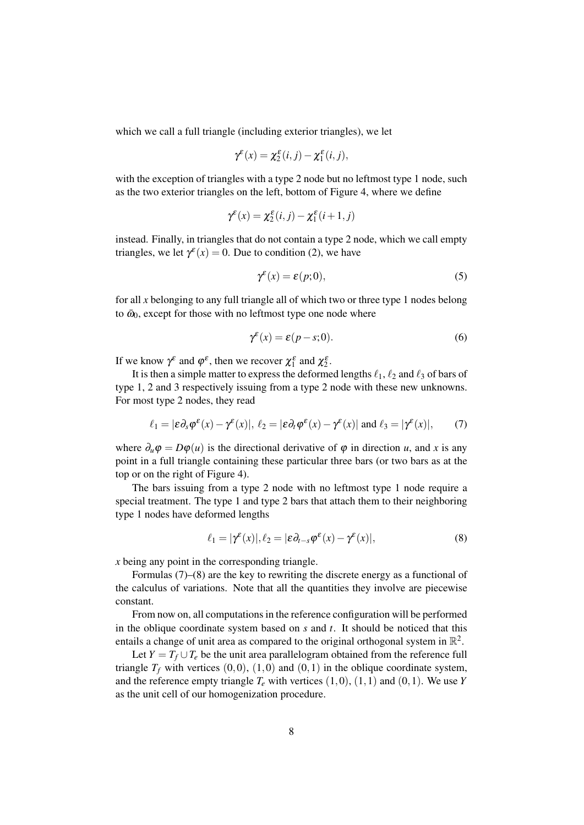which we call a full triangle (including exterior triangles), we let

$$
\gamma^{\varepsilon}(x) = \chi_2^{\varepsilon}(i,j) - \chi_1^{\varepsilon}(i,j),
$$

with the exception of triangles with a type 2 node but no leftmost type 1 node, such as the two exterior triangles on the left, bottom of Figure 4, where we define

$$
\gamma^{\varepsilon}(x)=\chi_{2}^{\varepsilon}(i,j)-\chi_{1}^{\varepsilon}(i+1,j)
$$

instead. Finally, in triangles that do not contain a type 2 node, which we call empty triangles, we let  $\gamma^{\varepsilon}(x) = 0$ . Due to condition (2), we have

$$
\gamma^{\varepsilon}(x) = \varepsilon(p;0),\tag{5}
$$

for all *x* belonging to any full triangle all of which two or three type 1 nodes belong to  $\bar{\omega}_0$ , except for those with no leftmost type one node where

$$
\gamma^{\varepsilon}(x) = \varepsilon(p - s; 0). \tag{6}
$$

If we know  $\gamma^{\varepsilon}$  and  $\varphi^{\varepsilon}$ , then we recover  $\chi_{1}^{\varepsilon}$  and  $\chi_{2}^{\varepsilon}$ .

It is then a simple matter to express the deformed lengths  $\ell_1$ ,  $\ell_2$  and  $\ell_3$  of bars of type 1, 2 and 3 respectively issuing from a type 2 node with these new unknowns. For most type 2 nodes, they read

$$
\ell_1 = |\varepsilon \partial_s \varphi^\varepsilon(x) - \gamma^\varepsilon(x)|, \ \ell_2 = |\varepsilon \partial_t \varphi^\varepsilon(x) - \gamma^\varepsilon(x)| \ \text{and} \ \ell_3 = |\gamma^\varepsilon(x)|,\tag{7}
$$

where  $\partial_{\mu} \varphi = D\varphi(u)$  is the directional derivative of  $\varphi$  in direction *u*, and *x* is any point in a full triangle containing these particular three bars (or two bars as at the top or on the right of Figure 4).

The bars issuing from a type 2 node with no leftmost type 1 node require a special treatment. The type 1 and type 2 bars that attach them to their neighboring type 1 nodes have deformed lengths

$$
\ell_1 = |\gamma^{\varepsilon}(x)|, \ell_2 = |\varepsilon \partial_{t-s} \varphi^{\varepsilon}(x) - \gamma^{\varepsilon}(x)|,\tag{8}
$$

*x* being any point in the corresponding triangle.

Formulas (7)–(8) are the key to rewriting the discrete energy as a functional of the calculus of variations. Note that all the quantities they involve are piecewise constant.

From now on, all computations in the reference configuration will be performed in the oblique coordinate system based on *s* and *t*. It should be noticed that this entails a change of unit area as compared to the original orthogonal system in  $\mathbb{R}^2$ .

Let  $Y = T_f \cup T_e$  be the unit area parallelogram obtained from the reference full triangle  $T_f$  with vertices  $(0,0)$ ,  $(1,0)$  and  $(0,1)$  in the oblique coordinate system, and the reference empty triangle  $T_e$  with vertices  $(1,0)$ ,  $(1,1)$  and  $(0,1)$ . We use *Y* as the unit cell of our homogenization procedure.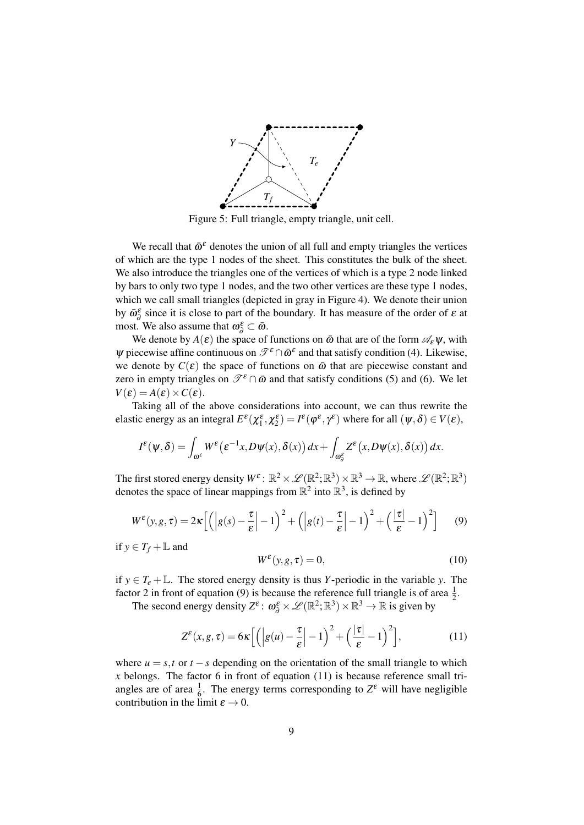

Figure 5: Full triangle, empty triangle, unit cell.

We recall that  $\bar{\omega}^{\varepsilon}$  denotes the union of all full and empty triangles the vertices of which are the type 1 nodes of the sheet. This constitutes the bulk of the sheet. We also introduce the triangles one of the vertices of which is a type 2 node linked by bars to only two type 1 nodes, and the two other vertices are these type 1 nodes, which we call small triangles (depicted in gray in Figure 4). We denote their union by  $\bar{\omega}_{\partial}^{\varepsilon}$  since it is close to part of the boundary. It has measure of the order of  $\varepsilon$  at most. We also assume that  $\omega_{\partial}^{\varepsilon} \subset \bar{\omega}$ .

We denote by  $A(\varepsilon)$  the space of functions on  $\bar{\omega}$  that are of the form  $\mathcal{A}_{\varepsilon}\psi$ , with  $\psi$  piecewise affine continuous on  $\mathscr{T}^{\varepsilon} \cap \bar{\omega}^{\varepsilon}$  and that satisfy condition (4). Likewise, we denote by  $C(\varepsilon)$  the space of functions on  $\bar{\omega}$  that are piecewise constant and zero in empty triangles on  $\mathcal{I}^{\varepsilon} \cap \bar{\omega}$  and that satisfy conditions (5) and (6). We let  $V(\varepsilon) = A(\varepsilon) \times C(\varepsilon)$ .

Taking all of the above considerations into account, we can thus rewrite the elastic energy as an integral  $E^{\varepsilon}(\chi_1^{\varepsilon}, \chi_2^{\varepsilon}) = I^{\varepsilon}(\varphi^{\varepsilon}, \gamma^{\varepsilon})$  where for all  $(\psi, \delta) \in V(\varepsilon)$ ,

$$
I^{\varepsilon}(\psi,\delta) = \int_{\omega^{\varepsilon}} W^{\varepsilon}(\varepsilon^{-1}x, D\psi(x), \delta(x)) dx + \int_{\omega_{\partial}^{\varepsilon}} Z^{\varepsilon}(x, D\psi(x), \delta(x)) dx.
$$

The first stored energy density  $W^{\varepsilon}$ :  $\mathbb{R}^2 \times \mathscr{L}(\mathbb{R}^2; \mathbb{R}^3) \times \mathbb{R}^3 \to \mathbb{R}$ , where  $\mathscr{L}(\mathbb{R}^2; \mathbb{R}^3)$ denotes the space of linear mappings from  $\mathbb{R}^2$  into  $\mathbb{R}^3$ , is defined by

$$
W^{\varepsilon}(y,g,\tau) = 2\kappa \left[ \left( \left| g(s) - \frac{\tau}{\varepsilon} \right| - 1 \right)^2 + \left( \left| g(t) - \frac{\tau}{\varepsilon} \right| - 1 \right)^2 + \left( \frac{|\tau|}{\varepsilon} - 1 \right)^2 \right] \tag{9}
$$

if  $y \in T_f + \mathbb{L}$  and

$$
W^{\varepsilon}(y, g, \tau) = 0,\tag{10}
$$

if  $y \in T_e + \mathbb{L}$ . The stored energy density is thus *Y*-periodic in the variable *y*. The factor 2 in front of equation (9) is because the reference full triangle is of area  $\frac{1}{2}$ .

The second energy density  $Z^{\varepsilon}$ :  $\omega_{\partial}^{\varepsilon} \times \mathscr{L}(\mathbb{R}^2; \mathbb{R}^3) \times \mathbb{R}^3 \to \mathbb{R}$  is given by

$$
Z^{\varepsilon}(x,g,\tau) = 6\kappa \left[ \left( \left| g(u) - \frac{\tau}{\varepsilon} \right| - 1 \right)^2 + \left( \frac{|\tau|}{\varepsilon} - 1 \right)^2 \right],\tag{11}
$$

where  $u = s$ , *t* or  $t - s$  depending on the orientation of the small triangle to which  $x$  belongs. The factor 6 in front of equation (11) is because reference small triangles are of area  $\frac{1}{6}$ . The energy terms corresponding to  $Z^{\varepsilon}$  will have negligible contribution in the limit  $\varepsilon \to 0$ .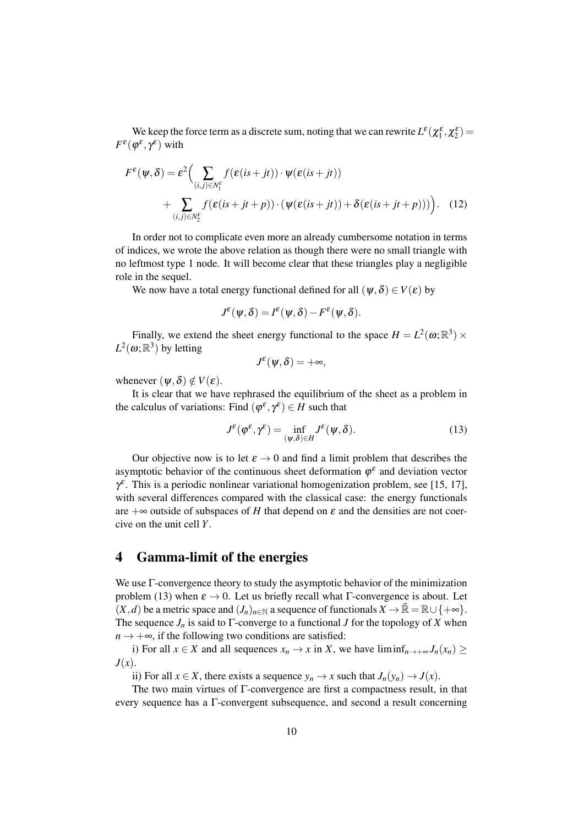We keep the force term as a discrete sum, noting that we can rewrite  $L^{\varepsilon}(\chi_1^{\varepsilon},\chi_2^{\varepsilon})=$  $F^{\varepsilon}(\varphi^{\varepsilon}, \gamma^{\varepsilon})$  with

$$
F^{\varepsilon}(\psi,\delta) = \varepsilon^2 \Big( \sum_{(i,j)\in N_1^{\varepsilon}} f(\varepsilon(is+jt)) \cdot \psi(\varepsilon(is+jt)) + \sum_{(i,j)\in N_2^{\varepsilon}} f(\varepsilon(is+jt+p)) \cdot (\psi(\varepsilon(is+jt)) + \delta(\varepsilon(is+jt+p))) \Big). \tag{12}
$$

In order not to complicate even more an already cumbersome notation in terms of indices, we wrote the above relation as though there were no small triangle with no leftmost type 1 node. It will become clear that these triangles play a negligible role in the sequel.

We now have a total energy functional defined for all  $(\psi, \delta) \in V(\varepsilon)$  by

$$
J^{\varepsilon}(\psi,\delta) = I^{\varepsilon}(\psi,\delta) - F^{\varepsilon}(\psi,\delta).
$$

Finally, we extend the sheet energy functional to the space  $H = L^2(\omega; \mathbb{R}^3) \times$  $L^2(\omega;\mathbb{R}^3)$  by letting

$$
J^{\varepsilon}(\psi,\delta) = +\infty,
$$

whenever  $(\psi, \delta) \notin V(\varepsilon)$ .

It is clear that we have rephrased the equilibrium of the sheet as a problem in the calculus of variations: Find  $(\varphi^{\varepsilon}, \gamma^{\varepsilon}) \in H$  such that

$$
J^{\varepsilon}(\varphi^{\varepsilon}, \gamma^{\varepsilon}) = \inf_{(\psi, \delta) \in H} J^{\varepsilon}(\psi, \delta). \tag{13}
$$

Our objective now is to let  $\varepsilon \to 0$  and find a limit problem that describes the asymptotic behavior of the continuous sheet deformation  $\varphi^{\varepsilon}$  and deviation vector  $\gamma^{\varepsilon}$ . This is a periodic nonlinear variational homogenization problem, see [15, 17], with several differences compared with the classical case: the energy functionals are  $+\infty$  outside of subspaces of *H* that depend on  $\varepsilon$  and the densities are not coercive on the unit cell *Y*.

## 4 Gamma-limit of the energies

We use Γ-convergence theory to study the asymptotic behavior of the minimization problem (13) when  $\varepsilon \to 0$ . Let us briefly recall what Γ-convergence is about. Let  $(X, d)$  be a metric space and  $(J_n)_{n \in \mathbb{N}}$  a sequence of functionals  $X \to \mathbb{R} = \mathbb{R} \cup \{+\infty\}.$ The sequence  $J_n$  is said to  $\Gamma$ -converge to a functional  $J$  for the topology of  $X$  when  $n \rightarrow +\infty$ , if the following two conditions are satisfied:

i) For all *x* ∈ *X* and all sequences  $x_n$  → *x* in *X*, we have liminf<sub>*n*→+∞</sub>  $J_n(x_n)$  ≥ *J*(*x*).

ii) For all  $x \in X$ , there exists a sequence  $y_n \to x$  such that  $J_n(y_n) \to J(x)$ .

The two main virtues of Γ-convergence are first a compactness result, in that every sequence has a Γ-convergent subsequence, and second a result concerning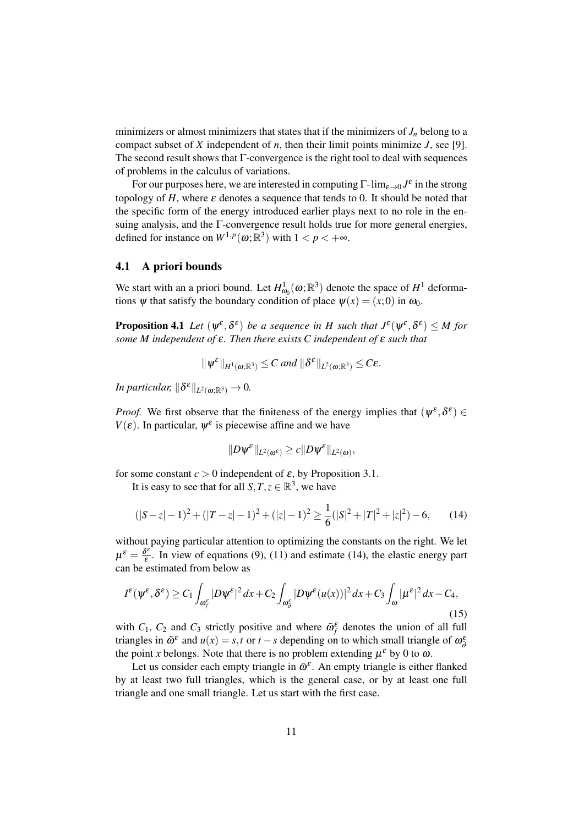minimizers or almost minimizers that states that if the minimizers of  $J_n$  belong to a compact subset of *X* independent of *n*, then their limit points minimize *J*, see [9]. The second result shows that  $\Gamma$ -convergence is the right tool to deal with sequences of problems in the calculus of variations.

For our purposes here, we are interested in computing  $\Gamma\text{-}\lim_{\varepsilon\to 0} J^\varepsilon$  in the strong topology of  $H$ , where  $\varepsilon$  denotes a sequence that tends to 0. It should be noted that the specific form of the energy introduced earlier plays next to no role in the ensuing analysis, and the Γ-convergence result holds true for more general energies, defined for instance on  $W^{1,p}(\omega;\mathbb{R}^3)$  with  $1 < p < +\infty$ .

### 4.1 A priori bounds

We start with an a priori bound. Let  $H^1_{\omega_0}(\omega;\mathbb{R}^3)$  denote the space of  $H^1$  deformations  $\psi$  that satisfy the boundary condition of place  $\psi(x) = (x, 0)$  in  $\omega_0$ .

**Proposition 4.1** Let  $(\psi^{\varepsilon}, \delta^{\varepsilon})$  be a sequence in H such that  $J^{\varepsilon}(\psi^{\varepsilon}, \delta^{\varepsilon}) \leq M$  for *some M independent of* ε*. Then there exists C independent of* ε *such that*

$$
\|\psi^{\varepsilon}\|_{H^1(\omega;\mathbb{R}^3)} \leq C \text{ and } \|\delta^{\varepsilon}\|_{L^2(\omega;\mathbb{R}^3)} \leq C\varepsilon.
$$

In particular,  $\|\delta^{\varepsilon}\|_{L^2(\omega;\mathbb{R}^3)} \to 0$ .

*Proof.* We first observe that the finiteness of the energy implies that  $(\psi^{\varepsilon}, \delta^{\varepsilon}) \in$  $V(\varepsilon)$ . In particular,  $\psi^{\varepsilon}$  is piecewise affine and we have

$$
||D\psi^{\varepsilon}||_{L^2(\omega^{\varepsilon})} \geq c||D\psi^{\varepsilon}||_{L^2(\omega)},
$$

for some constant  $c > 0$  independent of  $\varepsilon$ , by Proposition 3.1.

It is easy to see that for all  $S, T, z \in \mathbb{R}^3$ , we have

$$
(|S-z| - 1)^2 + (|T-z| - 1)^2 + (|z| - 1)^2 \ge \frac{1}{6}(|S|^2 + |T|^2 + |z|^2) - 6,\tag{14}
$$

without paying particular attention to optimizing the constants on the right. We let  $\mu^\varepsilon = \frac{\delta^\varepsilon}{\varepsilon}$  $\frac{\partial^2}{\partial \epsilon}$ . In view of equations (9), (11) and estimate (14), the elastic energy part can be estimated from below as

$$
I^{\varepsilon}(\psi^{\varepsilon},\delta^{\varepsilon}) \geq C_1 \int_{\omega_{f}^{\varepsilon}} |D\psi^{\varepsilon}|^2 dx + C_2 \int_{\omega_{\delta}^{\varepsilon}} |D\psi^{\varepsilon}(u(x))|^2 dx + C_3 \int_{\omega} |\mu^{\varepsilon}|^2 dx - C_4,
$$
\n(15)

with  $C_1$ ,  $C_2$  and  $C_3$  strictly positive and where  $\bar{\omega}_f^{\varepsilon}$  denotes the union of all full triangles in  $\bar{\omega}^{\epsilon}$  and  $u(x) = s, t$  or  $t - s$  depending on to which small triangle of  $\omega_{\tilde{\omega}}^{\epsilon}$ the point *x* belongs. Note that there is no problem extending  $\mu^{\varepsilon}$  by 0 to  $\omega$ .

Let us consider each empty triangle in  $\bar{\omega}^{\varepsilon}$ . An empty triangle is either flanked by at least two full triangles, which is the general case, or by at least one full triangle and one small triangle. Let us start with the first case.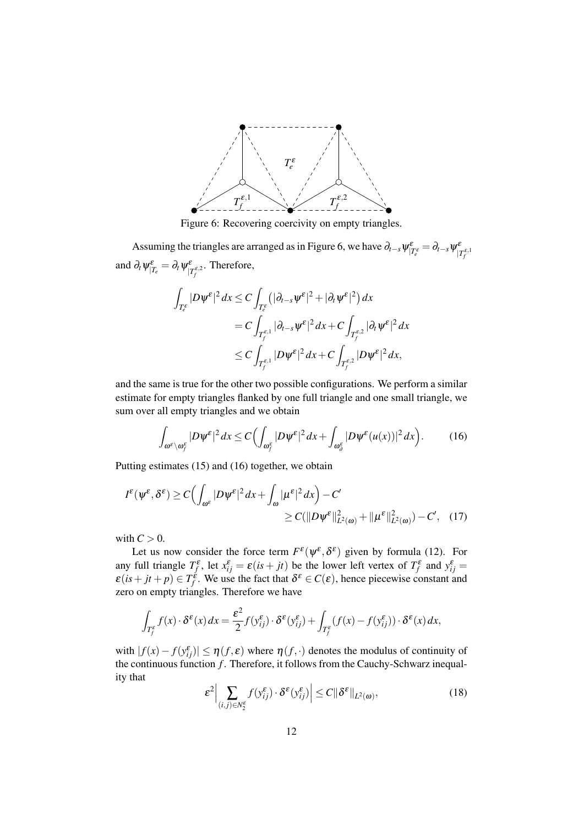

Figure 6: Recovering coercivity on empty triangles.

Assuming the triangles are arranged as in Figure 6, we have  $\partial_{t-s} \psi_{|T_e^{\varepsilon}}^{\varepsilon} = \partial_{t-s} \psi_{|T_e^{\varepsilon}}^{\varepsilon}$  $|T_f^{\boldsymbol{\varepsilon},1}$ and  $\partial_t \psi_{|T_e}^{\varepsilon} = \partial_t \psi_{|T_e}^{\varepsilon}$  $\int_{|T_f^{\varepsilon,2}}^{\varepsilon}$ . Therefore,

$$
\int_{T_{\epsilon}^{\epsilon}} |D\psi^{\epsilon}|^2 dx \le C \int_{T_{\epsilon}^{\epsilon}} (|\partial_{t-s}\psi^{\epsilon}|^2 + |\partial_t \psi^{\epsilon}|^2) dx
$$
  

$$
= C \int_{T_{f}^{\epsilon,1}} |\partial_{t-s}\psi^{\epsilon}|^2 dx + C \int_{T_{f}^{\epsilon,2}} |\partial_t \psi^{\epsilon}|^2 dx
$$
  

$$
\le C \int_{T_{f}^{\epsilon,1}} |D\psi^{\epsilon}|^2 dx + C \int_{T_{f}^{\epsilon,2}} |D\psi^{\epsilon}|^2 dx,
$$

and the same is true for the other two possible configurations. We perform a similar estimate for empty triangles flanked by one full triangle and one small triangle, we sum over all empty triangles and we obtain

$$
\int_{\omega^{\varepsilon} \setminus \omega^{\varepsilon}_{f}} |D\psi^{\varepsilon}|^{2} dx \le C \Big( \int_{\omega^{\varepsilon}_{f}} |D\psi^{\varepsilon}|^{2} dx + \int_{\omega^{\varepsilon}_{\partial}} |D\psi^{\varepsilon}(u(x))|^{2} dx \Big). \tag{16}
$$

Putting estimates (15) and (16) together, we obtain

$$
I^{\varepsilon}(\psi^{\varepsilon},\delta^{\varepsilon}) \ge C \Big( \int_{\omega^{\varepsilon}} |D\psi^{\varepsilon}|^2 dx + \int_{\omega} |\mu^{\varepsilon}|^2 dx \Big) - C'
$$
  
\n
$$
\ge C (\|D\psi^{\varepsilon}\|_{L^2(\omega)}^2 + \|\mu^{\varepsilon}\|_{L^2(\omega)}^2) - C', \quad (17)
$$

with  $C > 0$ .

Let us now consider the force term  $F^{\varepsilon}(\psi^{\varepsilon}, \delta^{\varepsilon})$  given by formula (12). For any full triangle  $T_f^{\varepsilon}$ , let  $x_{ij}^{\varepsilon} = \varepsilon (is + jt)$  be the lower left vertex of  $T_f^{\varepsilon}$  and  $y_{ij}^{\varepsilon} =$  $\varepsilon(i s + j t + p) \in T_f^{\xi}$ . We use the fact that  $\delta^{\varepsilon} \in C(\varepsilon)$ , hence piecewise constant and zero on empty triangles. Therefore we have

$$
\int_{T_f^{\varepsilon}} f(x) \cdot \delta^{\varepsilon}(x) dx = \frac{\varepsilon^2}{2} f(y_{ij}^{\varepsilon}) \cdot \delta^{\varepsilon}(y_{ij}^{\varepsilon}) + \int_{T_f^{\varepsilon}} (f(x) - f(y_{ij}^{\varepsilon})) \cdot \delta^{\varepsilon}(x) dx,
$$

with  $|f(x) - f(y_{ij}^{\varepsilon})| \leq \eta(f, \varepsilon)$  where  $\eta(f, \cdot)$  denotes the modulus of continuity of the continuous function *f* . Therefore, it follows from the Cauchy-Schwarz inequality that

$$
\varepsilon^{2} \Big| \sum_{(i,j) \in N_{2}^{\varepsilon}} f(y_{ij}^{\varepsilon}) \cdot \delta^{\varepsilon}(y_{ij}^{\varepsilon}) \Big| \leq C \|\delta^{\varepsilon}\|_{L^{2}(\omega)},
$$
\n(18)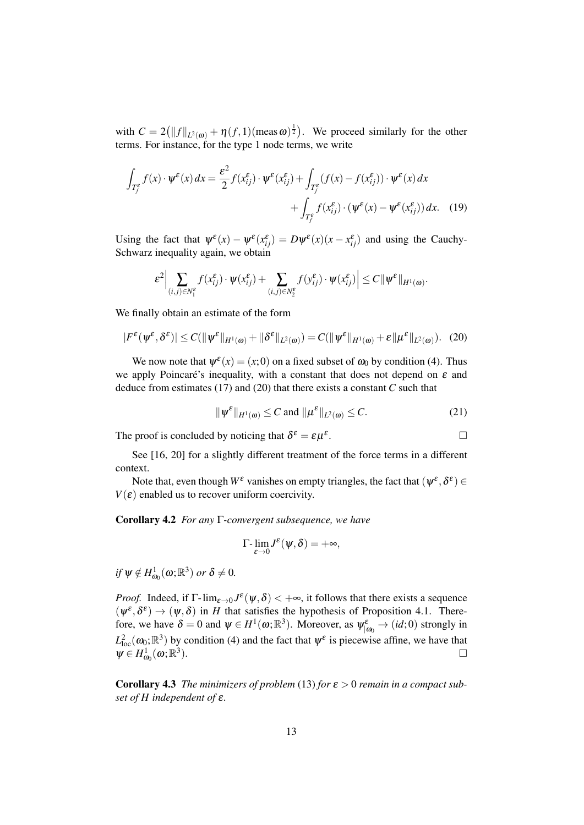with  $C = 2(||f||_{L^2(\omega)} + \eta(f, 1)(\text{meas}\omega)^{\frac{1}{2}})$ . We proceed similarly for the other terms. For instance, for the type 1 node terms, we write

$$
\int_{T_f^{\varepsilon}} f(x) \cdot \psi^{\varepsilon}(x) dx = \frac{\varepsilon^2}{2} f(x_{ij}^{\varepsilon}) \cdot \psi^{\varepsilon}(x_{ij}^{\varepsilon}) + \int_{T_f^{\varepsilon}} (f(x) - f(x_{ij}^{\varepsilon})) \cdot \psi^{\varepsilon}(x) dx \n+ \int_{T_f^{\varepsilon}} f(x_{ij}^{\varepsilon}) \cdot (\psi^{\varepsilon}(x) - \psi^{\varepsilon}(x_{ij}^{\varepsilon})) dx. \tag{19}
$$

Using the fact that  $\psi^{\epsilon}(x) - \psi^{\epsilon}(x_i^{\epsilon}) = D\psi^{\epsilon}(x)(x - x_{ij}^{\epsilon})$  and using the Cauchy-Schwarz inequality again, we obtain

$$
\varepsilon^2 \Big| \sum_{(i,j) \in N_1^{\varepsilon}} f(x_{ij}^{\varepsilon}) \cdot \psi(x_{ij}^{\varepsilon}) + \sum_{(i,j) \in N_2^{\varepsilon}} f(y_{ij}^{\varepsilon}) \cdot \psi(x_{ij}^{\varepsilon}) \Big| \leq C \|\psi^{\varepsilon}\|_{H^1(\omega)}.
$$

We finally obtain an estimate of the form

$$
|F^{\varepsilon}(\psi^{\varepsilon},\delta^{\varepsilon})| \leq C(||\psi^{\varepsilon}||_{H^1(\omega)} + ||\delta^{\varepsilon}||_{L^2(\omega)}) = C(||\psi^{\varepsilon}||_{H^1(\omega)} + \varepsilon||\mu^{\varepsilon}||_{L^2(\omega)}). \tag{20}
$$

We now note that  $\psi^{\varepsilon}(x) = (x, 0)$  on a fixed subset of  $\omega_0$  by condition (4). Thus we apply Poincaré's inequality, with a constant that does not depend on  $\varepsilon$  and deduce from estimates (17) and (20) that there exists a constant *C* such that

$$
\|\psi^{\varepsilon}\|_{H^1(\omega)} \le C \text{ and } \|\mu^{\varepsilon}\|_{L^2(\omega)} \le C. \tag{21}
$$

The proof is concluded by noticing that  $\delta^{\varepsilon} = \varepsilon \mu^{\varepsilon}$ .

See [16, 20] for a slightly different treatment of the force terms in a different context.

Note that, even though  $W^\varepsilon$  vanishes on empty triangles, the fact that  $(\psi^\varepsilon, \delta^\varepsilon) \in$  $V(\varepsilon)$  enabled us to recover uniform coercivity.

Corollary 4.2 *For any* Γ*-convergent subsequence, we have*

$$
\Gamma\text{-}\lim_{\varepsilon\to 0} J^\varepsilon(\psi,\delta)=+\infty,
$$

 $if \psi \notin H_{\omega_0}^1(\omega;\mathbb{R}^3) \text{ or } \delta \neq 0.$ 

*Proof.* Indeed, if  $\Gamma$ - $\lim_{\varepsilon \to 0} J^{\varepsilon}(\psi, \delta) < +\infty$ , it follows that there exists a sequence  $(\psi^{\varepsilon}, \delta^{\varepsilon}) \to (\psi, \delta)$  in *H* that satisfies the hypothesis of Proposition 4.1. Therefore, we have  $\delta = 0$  and  $\psi \in H^1(\omega; \mathbb{R}^3)$ . Moreover, as  $\psi_{|\omega_0}^{\varepsilon} \to (id; 0)$  strongly in  $L^2_{\text{loc}}(\omega_0;\mathbb{R}^3)$  by condition (4) and the fact that  $\psi^{\varepsilon}$  is piecewise affine, we have that  $\psi \in H^1_{\omega_0}(\omega;\mathbb{R}^3)$  $\Box$ 

**Corollary 4.3** *The minimizers of problem* (13) *for*  $\varepsilon > 0$  *remain in a compact subset of H independent of* ε*.*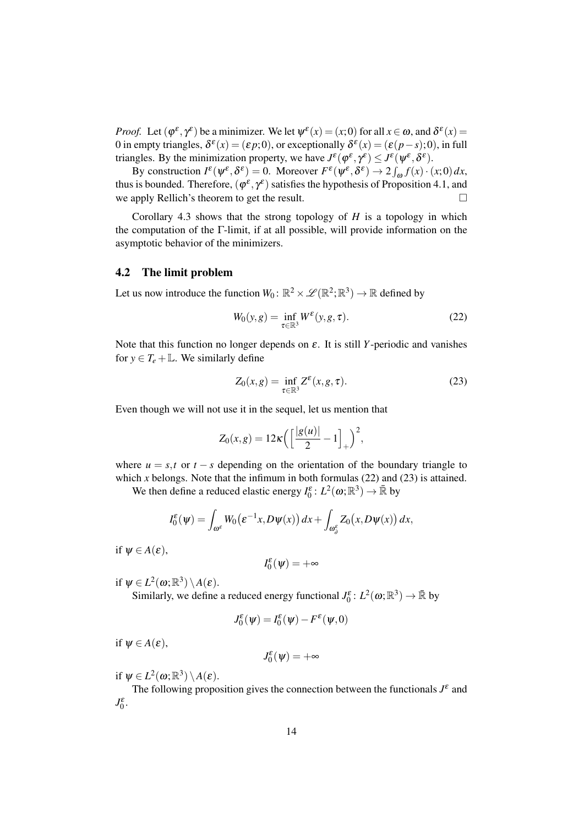*Proof.* Let  $(\varphi^{\varepsilon}, \gamma^{\varepsilon})$  be a minimizer. We let  $\psi^{\varepsilon}(x) = (x, 0)$  for all  $x \in \omega$ , and  $\delta^{\varepsilon}(x) =$ 0 in empty triangles,  $\delta^{\varepsilon}(x) = (\varepsilon p; 0)$ , or exceptionally  $\delta^{\varepsilon}(x) = (\varepsilon (p - s); 0)$ , in full triangles. By the minimization property, we have  $J^{\varepsilon}(\varphi^{\varepsilon}, \gamma^{\varepsilon}) \leq J^{\varepsilon}(\psi^{\varepsilon}, \delta^{\varepsilon}).$ 

By construction  $I^{\varepsilon}(\psi^{\varepsilon}, \delta^{\varepsilon}) = 0$ . Moreover  $F^{\varepsilon}(\psi^{\varepsilon}, \delta^{\varepsilon}) \to 2 \int_{\omega} f(x) \cdot (x; 0) dx$ , thus is bounded. Therefore,  $(\varphi^{\varepsilon}, \gamma^{\varepsilon})$  satisfies the hypothesis of Proposition 4.1, and we apply Rellich's theorem to get the result.

Corollary 4.3 shows that the strong topology of *H* is a topology in which the computation of the Γ-limit, if at all possible, will provide information on the asymptotic behavior of the minimizers.

## 4.2 The limit problem

Let us now introduce the function  $W_0$ :  $\mathbb{R}^2 \times \mathcal{L}(\mathbb{R}^2; \mathbb{R}^3) \to \mathbb{R}$  defined by

$$
W_0(y,g) = \inf_{\tau \in \mathbb{R}^3} W^{\varepsilon}(y,g,\tau). \tag{22}
$$

Note that this function no longer depends on  $\varepsilon$ . It is still *Y*-periodic and vanishes for  $y \in T_e + \mathbb{L}$ . We similarly define

$$
Z_0(x,g) = \inf_{\tau \in \mathbb{R}^3} Z^{\varepsilon}(x,g,\tau). \tag{23}
$$

Even though we will not use it in the sequel, let us mention that

$$
Z_0(x,g) = 12\kappa \left( \left[ \frac{|g(u)|}{2} - 1 \right]_+ \right)^2,
$$

where  $u = s, t$  or  $t - s$  depending on the orientation of the boundary triangle to which *x* belongs. Note that the infimum in both formulas  $(22)$  and  $(23)$  is attained.

We then define a reduced elastic energy  $I_0^{\varepsilon}$ :  $L^2(\omega; \mathbb{R}^3) \to \bar{\mathbb{R}}$  by

$$
I_0^{\varepsilon}(\psi) = \int_{\omega^{\varepsilon}} W_0(\varepsilon^{-1}x, D\psi(x)) dx + \int_{\omega^{\varepsilon}_\partial} Z_0(x, D\psi(x)) dx,
$$

if  $\psi \in A(\varepsilon)$ ,

$$
I_0^\varepsilon(\psi)=+\infty
$$

if  $\psi \in L^2(\omega; \mathbb{R}^3) \setminus A(\varepsilon)$ .

Similarly, we define a reduced energy functional  $J_0^{\varepsilon}: L^2(\omega; \mathbb{R}^3) \to \bar{\mathbb{R}}$  by

$$
J_0^{\varepsilon}(\psi) = I_0^{\varepsilon}(\psi) - F^{\varepsilon}(\psi, 0)
$$

if  $\psi \in A(\varepsilon)$ ,

$$
J_0^\varepsilon(\psi)=+\infty
$$

if  $\psi \in L^2(\omega; \mathbb{R}^3) \setminus A(\varepsilon)$ .

The following proposition gives the connection between the functionals  $J^{\varepsilon}$  and  $J_0^{\varepsilon}$ .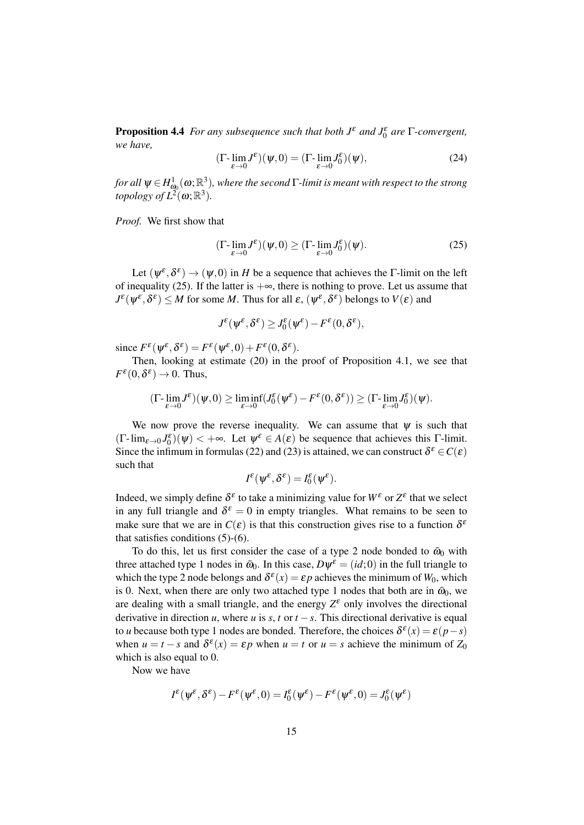**Proposition 4.4** For any subsequence such that both  $J^{\varepsilon}$  and  $J_0^{\varepsilon}$  are  $\Gamma$ -convergent, *we have,*

$$
(\Gamma\text{-}\lim_{\varepsilon \to 0} J^{\varepsilon})(\psi, 0) = (\Gamma\text{-}\lim_{\varepsilon \to 0} J^{\varepsilon}_0)(\psi), \tag{24}
$$

for all  $\psi$   $\in$   $H_{\omega_0}^1(\omega;\mathbb{R}^3)$ , where the second  $\Gamma$ -limit is meant with respect to the strong *topology of*  $L^2(\omega;\mathbb{R}^3)$ .

*Proof.* We first show that

$$
(\Gamma\text{-}\lim_{\varepsilon \to 0} J^{\varepsilon})(\psi, 0) \ge (\Gamma\text{-}\lim_{\varepsilon \to 0} J^{\varepsilon}_0)(\psi). \tag{25}
$$

Let  $(\psi^{\varepsilon}, \delta^{\varepsilon}) \to (\psi, 0)$  in *H* be a sequence that achieves the Γ-limit on the left of inequality (25). If the latter is  $+\infty$ , there is nothing to prove. Let us assume that *J*<sup>ε</sup>( $\psi^{\epsilon}, \delta^{\epsilon}$ )  $\leq M$  for some *M*. Thus for all  $\epsilon$ , ( $\psi^{\epsilon}, \delta^{\epsilon}$ ) belongs to *V*( $\epsilon$ ) and

$$
J^{\varepsilon}(\psi^{\varepsilon},\delta^{\varepsilon})\geq J^{\varepsilon}_0(\psi^{\varepsilon})-F^{\varepsilon}(0,\delta^{\varepsilon}),
$$

since  $F^{\varepsilon}(\psi^{\varepsilon}, \delta^{\varepsilon}) = F^{\varepsilon}(\psi^{\varepsilon}, 0) + F^{\varepsilon}(0, \delta^{\varepsilon}).$ 

Then, looking at estimate (20) in the proof of Proposition 4.1, we see that  $F^{\varepsilon}(0,\delta^{\varepsilon}) \to 0$ . Thus,

$$
(\Gamma\hbox{-}\lim_{\varepsilon\to 0}J^\varepsilon)(\psi,0)\geq \liminf_{\varepsilon\to 0}(J^\varepsilon_0(\psi^\varepsilon)-F^\varepsilon(0,\delta^\varepsilon))\geq (\Gamma\hbox{-}\lim_{\varepsilon\to 0}J^\varepsilon_0)(\psi).
$$

We now prove the reverse inequality. We can assume that  $\psi$  is such that  $(\Gamma\text{-}\lim_{\varepsilon\to 0}J_0^{\varepsilon})(\psi) < +\infty$ . Let  $\psi^{\varepsilon} \in A(\varepsilon)$  be sequence that achieves this  $\Gamma\text{-}\text{limit}$ . Since the infimum in formulas (22) and (23) is attained, we can construct  $\delta^{\varepsilon} \in C(\varepsilon)$ such that

$$
I^{\varepsilon}(\psi^{\varepsilon},\delta^{\varepsilon})=I^{\varepsilon}_0(\psi^{\varepsilon}).
$$

Indeed, we simply define  $\delta^{\varepsilon}$  to take a minimizing value for  $W^{\varepsilon}$  or  $Z^{\varepsilon}$  that we select in any full triangle and  $\delta^{\varepsilon} = 0$  in empty triangles. What remains to be seen to make sure that we are in  $C(\varepsilon)$  is that this construction gives rise to a function  $\delta^{\varepsilon}$ that satisfies conditions (5)-(6).

To do this, let us first consider the case of a type 2 node bonded to  $\bar{\omega}_0$  with three attached type 1 nodes in  $\bar{\omega}_0$ . In this case,  $D\psi^{\varepsilon} = (id, 0)$  in the full triangle to which the type 2 node belongs and  $\delta^{\varepsilon}(x) = \varepsilon p$  achieves the minimum of *W*<sub>0</sub>, which is 0. Next, when there are only two attached type 1 nodes that both are in  $\bar{\omega}_0$ , we are dealing with a small triangle, and the energy  $Z^{\varepsilon}$  only involves the directional derivative in direction *u*, where *u* is *s*, *t* or  $t - s$ . This directional derivative is equal to *u* because both type 1 nodes are bonded. Therefore, the choices  $\delta^{\varepsilon}(x) = \varepsilon(p - s)$ when  $u = t - s$  and  $\delta^{\varepsilon}(x) = \varepsilon p$  when  $u = t$  or  $u = s$  achieve the minimum of  $Z_0$ which is also equal to 0.

Now we have

$$
I^{\varepsilon}(\psi^{\varepsilon},\delta^{\varepsilon})-F^{\varepsilon}(\psi^{\varepsilon},0)=I^{\varepsilon}_0(\psi^{\varepsilon})-F^{\varepsilon}(\psi^{\varepsilon},0)=J^{\varepsilon}_0(\psi^{\varepsilon})
$$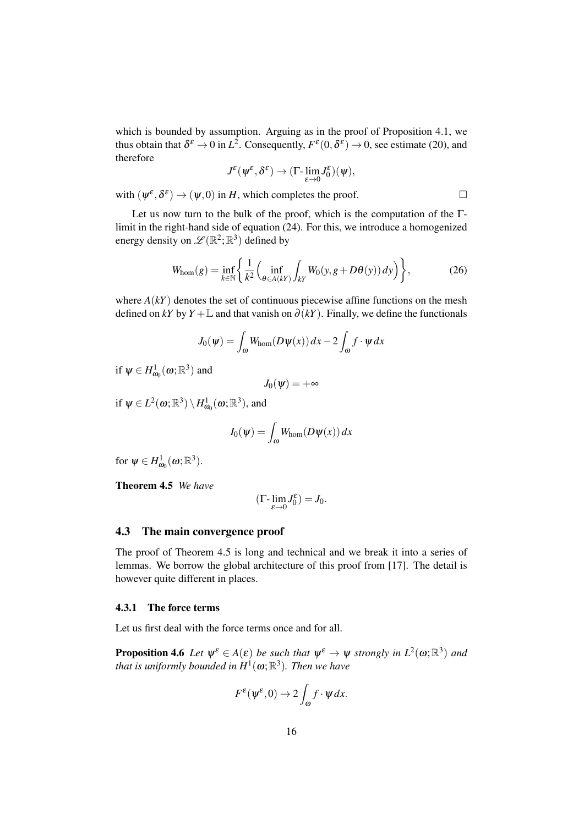which is bounded by assumption. Arguing as in the proof of Proposition 4.1, we thus obtain that  $\delta^{\varepsilon} \to 0$  in  $L^2$ . Consequently,  $F^{\varepsilon}(0, \delta^{\varepsilon}) \to 0$ , see estimate (20), and therefore

$$
J^{\varepsilon}(\psi^{\varepsilon},\delta^{\varepsilon}) \to (\Gamma\text{-}\lim_{\varepsilon \to 0} J^{\varepsilon}_0)(\psi),
$$

with  $(\psi^{\varepsilon}, \delta^{\varepsilon}) \to (\psi, 0)$  in *H*, which completes the proof.

Let us now turn to the bulk of the proof, which is the computation of the  $\Gamma$ limit in the right-hand side of equation (24). For this, we introduce a homogenized energy density on  $\mathscr{L}(\mathbb{R}^2;\mathbb{R}^3)$  defined by

$$
W_{\text{hom}}(g) = \inf_{k \in \mathbb{N}} \left\{ \frac{1}{k^2} \left( \inf_{\theta \in A(kY)} \int_{kY} W_0(y, g + D\theta(y)) \, dy \right) \right\},\tag{26}
$$

where  $A(kY)$  denotes the set of continuous piecewise affine functions on the mesh defined on *kY* by  $Y + L$  and that vanish on  $\partial (kY)$ . Finally, we define the functionals

$$
J_0(\psi) = \int_{\omega} W_{\text{hom}}(D\psi(x)) dx - 2 \int_{\omega} f \cdot \psi dx
$$

if  $\psi \in H^1_{\omega_0}(\omega;\mathbb{R}^3)$  and

$$
J_0(\psi)=+\infty
$$

if  $\psi \in L^2(\omega; \mathbb{R}^3) \setminus H^1_{\omega_0}(\omega; \mathbb{R}^3)$ , and

$$
I_0(\psi) = \int_{\omega} W_{\text{hom}}(D\psi(x)) dx
$$

for  $\psi \in H^1_{\omega_0}(\omega;\mathbb{R}^3)$ .

Theorem 4.5 *We have*

$$
\big(\Gamma\text{-}\lim_{\varepsilon\to 0}J^\varepsilon_0\big)=J_0.
$$

## 4.3 The main convergence proof

The proof of Theorem 4.5 is long and technical and we break it into a series of lemmas. We borrow the global architecture of this proof from [17]. The detail is however quite different in places.

### 4.3.1 The force terms

Let us first deal with the force terms once and for all.

**Proposition 4.6** Let  $\psi^{\varepsilon} \in A(\varepsilon)$  be such that  $\psi^{\varepsilon} \to \psi$  strongly in  $L^2(\omega; \mathbb{R}^3)$  and that is uniformly bounded in  $H^1(\omega; \mathbb{R}^3)$ . Then we have

$$
F^{\varepsilon}(\psi^{\varepsilon},0) \to 2 \int_{\omega} f \cdot \psi dx.
$$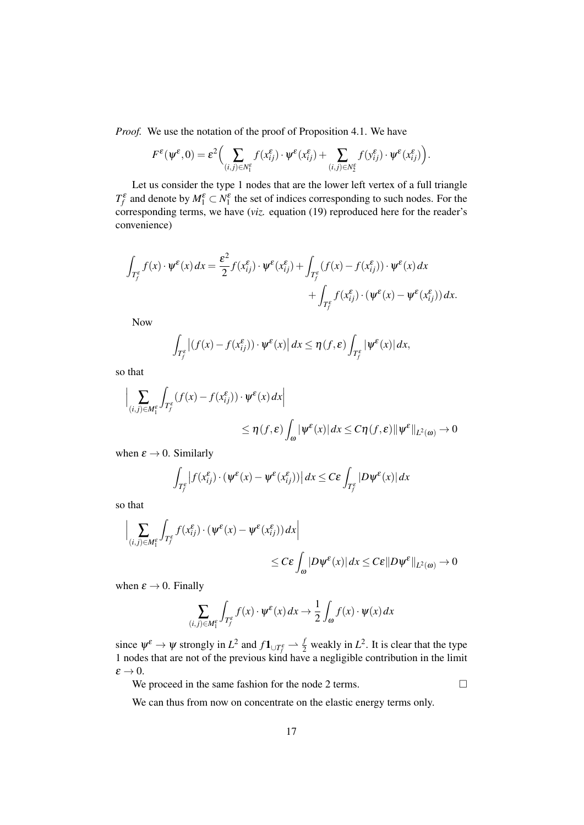*Proof.* We use the notation of the proof of Proposition 4.1. We have

$$
F^{\varepsilon}(\psi^{\varepsilon},0) = \varepsilon^2 \Biggl(\sum_{(i,j)\in N_1^{\varepsilon}} f(x_{ij}^{\varepsilon}) \cdot \psi^{\varepsilon}(x_{ij}^{\varepsilon}) + \sum_{(i,j)\in N_2^{\varepsilon}} f(y_{ij}^{\varepsilon}) \cdot \psi^{\varepsilon}(x_{ij}^{\varepsilon})\Biggr).
$$

Let us consider the type 1 nodes that are the lower left vertex of a full triangle  $T_f^{\varepsilon}$  and denote by  $M_1^{\varepsilon} \subset N_1^{\varepsilon}$  the set of indices corresponding to such nodes. For the corresponding terms, we have (*viz.* equation (19) reproduced here for the reader's convenience)

$$
\int_{T_f^{\varepsilon}} f(x) \cdot \psi^{\varepsilon}(x) dx = \frac{\varepsilon^2}{2} f(x_{ij}^{\varepsilon}) \cdot \psi^{\varepsilon}(x_{ij}^{\varepsilon}) + \int_{T_f^{\varepsilon}} (f(x) - f(x_{ij}^{\varepsilon})) \cdot \psi^{\varepsilon}(x) dx \n+ \int_{T_f^{\varepsilon}} f(x_{ij}^{\varepsilon}) \cdot (\psi^{\varepsilon}(x) - \psi^{\varepsilon}(x_{ij}^{\varepsilon})) dx.
$$

Now

$$
\int_{T_f^{\varepsilon}} \left| (f(x) - f(x_{ij}^{\varepsilon})) \cdot \psi^{\varepsilon}(x) \right| dx \leq \eta(f, \varepsilon) \int_{T_f^{\varepsilon}} |\psi^{\varepsilon}(x)| dx,
$$

so that

$$
\Big| \sum_{(i,j)\in M_1^{\varepsilon}} \int_{T_j^{\varepsilon}} (f(x) - f(x_{ij}^{\varepsilon})) \cdot \psi^{\varepsilon}(x) dx \Big|
$$
  
 
$$
\leq \eta(f,\varepsilon) \int_{\omega} |\psi^{\varepsilon}(x)| dx \leq C \eta(f,\varepsilon) \|\psi^{\varepsilon}\|_{L^2(\omega)} \to 0
$$

when  $\varepsilon \to 0$ . Similarly

$$
\int_{T_f^{\varepsilon}} \left| f(x_{ij}^{\varepsilon}) \cdot (\psi^{\varepsilon}(x) - \psi^{\varepsilon}(x_{ij}^{\varepsilon})) \right| dx \leq C \varepsilon \int_{T_f^{\varepsilon}} |D\psi^{\varepsilon}(x)| dx
$$

so that

$$
\Big| \sum_{(i,j)\in M_1^{\varepsilon}} \int_{T_j^{\varepsilon}} f(x_{ij}^{\varepsilon}) \cdot (\psi^{\varepsilon}(x) - \psi^{\varepsilon}(x_{ij}^{\varepsilon})) dx \Big|
$$
  

$$
\leq C \varepsilon \int_{\omega} |D\psi^{\varepsilon}(x)| dx \leq C \varepsilon ||D\psi^{\varepsilon}||_{L^2(\omega)} \to 0
$$

when  $\varepsilon \to 0$ . Finally

$$
\sum_{(i,j)\in M_1^{\varepsilon}} \int_{T_f^{\varepsilon}} f(x) \cdot \psi^{\varepsilon}(x) dx \to \frac{1}{2} \int_{\omega} f(x) \cdot \psi(x) dx
$$

since  $\psi^{\varepsilon} \to \psi$  strongly in  $L^2$  and  $f\mathbf{1}_{\cup T_f^{\varepsilon}} \to \frac{f}{2}$  weakly in  $L^2$ . It is clear that the type 1 nodes that are not of the previous kind have a negligible contribution in the limit  $\varepsilon \to 0$ .

We proceed in the same fashion for the node 2 terms.  $\Box$ 

We can thus from now on concentrate on the elastic energy terms only.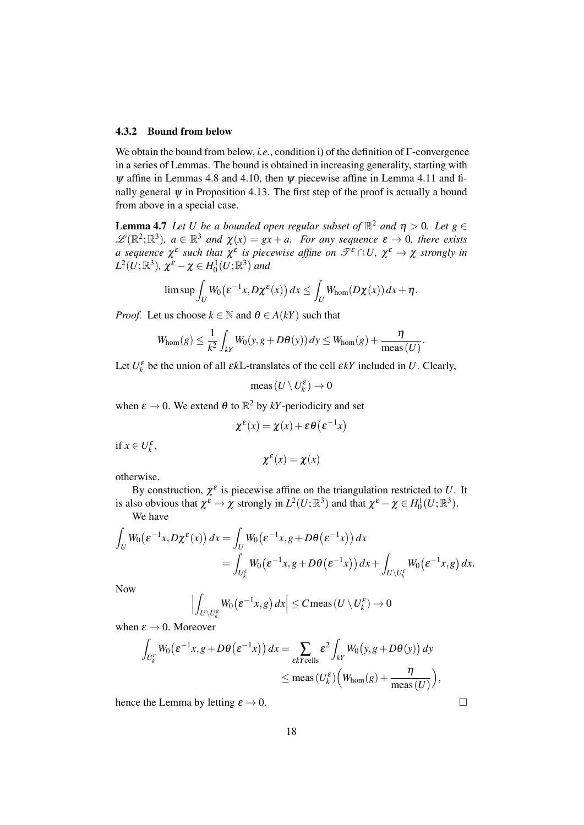#### 4.3.2 Bound from below

We obtain the bound from below, *i.e.*, condition i) of the definition of Γ-convergence in a series of Lemmas. The bound is obtained in increasing generality, starting with  $\psi$  affine in Lemmas 4.8 and 4.10, then  $\psi$  piecewise affine in Lemma 4.11 and finally general  $\psi$  in Proposition 4.13. The first step of the proof is actually a bound from above in a special case.

**Lemma 4.7** Let U be a bounded open regular subset of  $\mathbb{R}^2$  and  $\eta > 0$ . Let  $g \in$  $\mathscr{L}(\mathbb{R}^2;\mathbb{R}^3)$ ,  $a \in \mathbb{R}^3$  and  $\chi(x) = gx + a$ . For any sequence  $\varepsilon \to 0$ , there exists *a* sequence  $\chi^{\varepsilon}$  such that  $\chi^{\varepsilon}$  is piecewise affine on  $\mathscr{T}^{\varepsilon} \cap U$ ,  $\chi^{\varepsilon} \to \chi$  strongly in  $L^2(U;\mathbb{R}^3)$ ,  $\chi^{\varepsilon} - \chi \in H_0^1(U;\mathbb{R}^3)$  and

$$
\limsup \int_U W_0\big(\varepsilon^{-1}x, D\chi^{\varepsilon}(x)\big)\,dx \leq \int_U W_{\text{hom}}(D\chi(x))\,dx + \eta.
$$

*Proof.* Let us choose  $k \in \mathbb{N}$  and  $\theta \in A(kY)$  such that

$$
W_{\text{hom}}(g) \le \frac{1}{k^2} \int_{kY} W_0(y, g + D\theta(y)) dy \le W_{\text{hom}}(g) + \frac{\eta}{\text{meas}(U)}
$$

Let  $U_k^{\varepsilon}$  be the union of all  $\varepsilon k\mathbb{L}$ -translates of the cell  $\varepsilon kY$  included in *U*. Clearly,

$$
\mathop{\rm meas}\nolimits\big(U\setminus U_k^{\varepsilon}\big)\to 0
$$

when  $\varepsilon \to 0$ . We extend  $\theta$  to  $\mathbb{R}^2$  by kY-periodicity and set

$$
\chi^{\varepsilon}(x) = \chi(x) + \varepsilon \theta\left(\varepsilon^{-1}x\right)
$$

if  $x \in U_k^{\varepsilon}$ ,

$$
\chi^{\varepsilon}(x) = \chi(x)
$$

otherwise.

By construction,  $\chi^{\varepsilon}$  is piecewise affine on the triangulation restricted to *U*. It is also obvious that  $\chi^{\varepsilon} \to \chi$  strongly in  $L^2(U; \mathbb{R}^3)$  and that  $\chi^{\varepsilon} - \chi \in H_0^1(U; \mathbb{R}^3)$ . We have

$$
\int_{U} W_0(\varepsilon^{-1}x, D\chi^{\varepsilon}(x)) dx = \int_{U} W_0(\varepsilon^{-1}x, g + D\theta(\varepsilon^{-1}x)) dx
$$
  
= 
$$
\int_{U_k^{\varepsilon}} W_0(\varepsilon^{-1}x, g + D\theta(\varepsilon^{-1}x)) dx + \int_{U \setminus U_k^{\varepsilon}} W_0(\varepsilon^{-1}x, g) dx.
$$

Now

$$
\left| \int_{U \setminus U_k^{\varepsilon}} W_0(\varepsilon^{-1} x, g) dx \right| \leq C \operatorname{meas} (U \setminus U_k^{\varepsilon}) \to 0
$$

when  $\varepsilon \to 0$ . Moreover

$$
\int_{U_k^{\varepsilon}} W_0(\varepsilon^{-1}x, g + D\theta(\varepsilon^{-1}x)) dx = \sum_{\varepsilon kY \text{ cells}} \varepsilon^2 \int_{kY} W_0(y, g + D\theta(y)) dy
$$
  

$$
\leq \max(U_k^{\varepsilon}) \Big( W_{\text{hom}}(g) + \frac{\eta}{\text{meas}(U)} \Big),
$$

hence the Lemma by letting  $\varepsilon \to 0$ .

.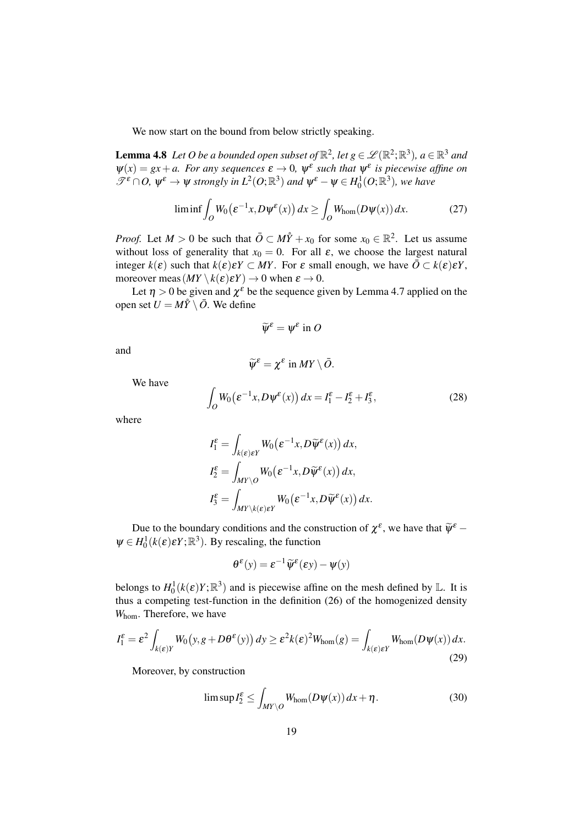We now start on the bound from below strictly speaking.

**Lemma 4.8** Let O be a bounded open subset of  $\mathbb{R}^2$ , let  $g \in \mathscr{L}(\mathbb{R}^2;\mathbb{R}^3)$ ,  $a \in \mathbb{R}^3$  and  $\Psi(x) = gx + a$ . For any sequences  $\varepsilon \to 0$ ,  $\Psi^{\varepsilon}$  such that  $\Psi^{\varepsilon}$  is piecewise affine on  $\mathscr{T}^{\varepsilon} \cap O$ ,  $\psi^{\varepsilon} \to \psi$  strongly in  $L^2(O;\mathbb{R}^3)$  and  $\psi^{\varepsilon} - \psi \in H_0^1(O;\mathbb{R}^3)$ , we have

$$
\liminf \int_{O} W_0\big(\varepsilon^{-1}x, D\Psi^{\varepsilon}(x)\big) dx \ge \int_{O} W_{\text{hom}}(D\Psi(x)) dx. \tag{27}
$$

*Proof.* Let  $M > 0$  be such that  $\overline{O} \subset M\r Y + x_0$  for some  $x_0 \in \mathbb{R}^2$ . Let us assume without loss of generality that  $x_0 = 0$ . For all  $\varepsilon$ , we choose the largest natural integer  $k(\varepsilon)$  such that  $k(\varepsilon) \varepsilon Y \subset MY$ . For  $\varepsilon$  small enough, we have  $\overline{O} \subset k(\varepsilon) \varepsilon Y$ , moreover meas  $(MY \setminus k(\varepsilon) \varepsilon Y) \to 0$  when  $\varepsilon \to 0$ .

Let  $\eta > 0$  be given and  $\chi^{\varepsilon}$  be the sequence given by Lemma 4.7 applied on the open set  $U = M\overset{\circ}{Y} \setminus \overline{O}$ . We define

$$
\widetilde{\psi}^{\varepsilon} = \psi^{\varepsilon} \text{ in } O
$$

and

$$
\widetilde{\psi}^{\varepsilon}=\chi^{\varepsilon}\text{ in }MY\setminus\bar{O}.
$$

We have

$$
\int_{O} W_0 \left( \varepsilon^{-1} x, D \psi^{\varepsilon}(x) \right) dx = I_1^{\varepsilon} - I_2^{\varepsilon} + I_3^{\varepsilon}, \tag{28}
$$

where

$$
I_1^{\varepsilon} = \int_{k(\varepsilon)\varepsilon Y} W_0(\varepsilon^{-1}x, D\widetilde{\psi}^{\varepsilon}(x)) dx,
$$
  
\n
$$
I_2^{\varepsilon} = \int_{MY\backslash O} W_0(\varepsilon^{-1}x, D\widetilde{\psi}^{\varepsilon}(x)) dx,
$$
  
\n
$$
I_3^{\varepsilon} = \int_{MY\backslash k(\varepsilon)\varepsilon Y} W_0(\varepsilon^{-1}x, D\widetilde{\psi}^{\varepsilon}(x)) dx.
$$

Due to the boundary conditions and the construction of  $\chi^{\epsilon}$ , we have that  $\widetilde{\psi}^{\epsilon}$  –<br> $H^1(L(\epsilon) \circ Y, \mathbb{R}^3)$ . By recogling the function  $\psi \in H_0^1(k(\varepsilon)\varepsilon Y;\mathbb{R}^3)$ . By rescaling, the function

$$
\theta^{\varepsilon}(y) = \varepsilon^{-1} \widetilde{\psi}^{\varepsilon}(\varepsilon y) - \psi(y)
$$

belongs to  $H_0^1(k(\varepsilon)Y;\mathbb{R}^3)$  and is piecewise affine on the mesh defined by  $\mathbb{L}$ . It is thus a competing test-function in the definition (26) of the homogenized density *W*hom. Therefore, we have

$$
I_1^{\varepsilon} = \varepsilon^2 \int_{k(\varepsilon)Y} W_0(y, g + D\theta^{\varepsilon}(y)) dy \ge \varepsilon^2 k(\varepsilon)^2 W_{\text{hom}}(g) = \int_{k(\varepsilon)\varepsilon Y} W_{\text{hom}}(D\psi(x)) dx.
$$
\n(29)

Moreover, by construction

$$
\limsup I_2^{\varepsilon} \le \int_{MY\backslash O} W_{\text{hom}}(D\psi(x))\,dx + \eta. \tag{30}
$$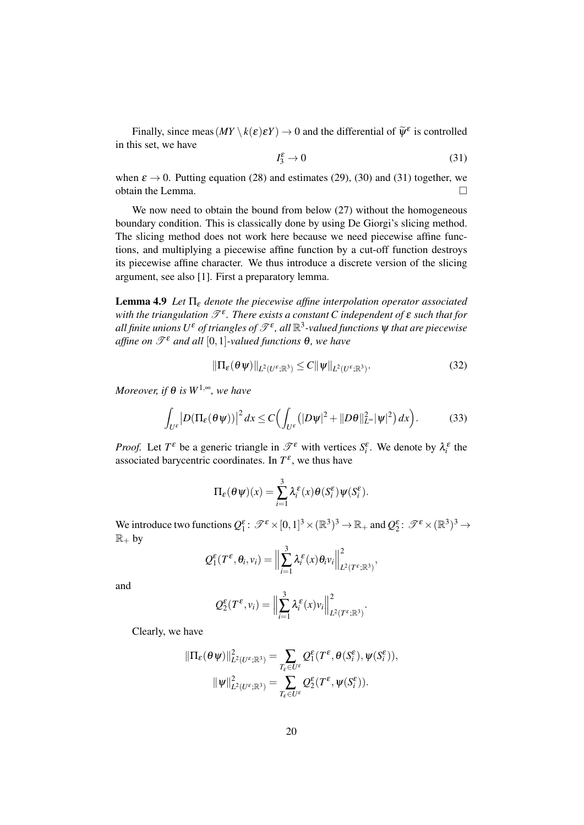Finally, since meas  $(MY \setminus k(\varepsilon) \varepsilon Y) \to 0$  and the differential of  $\widetilde{\psi}^{\varepsilon}$  is controlled in this set, we have

$$
I_3^{\varepsilon} \to 0 \tag{31}
$$

when  $\varepsilon \to 0$ . Putting equation (28) and estimates (29), (30) and (31) together, we obtain the Lemma.

We now need to obtain the bound from below  $(27)$  without the homogeneous boundary condition. This is classically done by using De Giorgi's slicing method. The slicing method does not work here because we need piecewise affine functions, and multiplying a piecewise affine function by a cut-off function destroys its piecewise affine character. We thus introduce a discrete version of the slicing argument, see also [1]. First a preparatory lemma.

Lemma 4.9 Let Π<sub>ε</sub> denote the piecewise affine interpolation operator associated with the triangulation  $\mathscr{T}^{\epsilon}$ . There exists a constant C independent of **ε** such that for all finite unions  $U^\varepsilon$  of triangles of  $\mathscr{T}^\varepsilon$ , all  $\mathbb{R}^3$ -valued functions  $\pmb{\psi}$  that are piecewise *affine on*  $\mathscr{T}^{\varepsilon}$  *and all* [0, 1]*-valued functions*  $\theta$ *, we have* 

$$
\|\Pi_{\varepsilon}(\theta\,\psi)\|_{L^2(U^{\varepsilon};\mathbb{R}^3)} \leq C \|\psi\|_{L^2(U^{\varepsilon};\mathbb{R}^3)}.
$$
\n(32)

*Moreover, if*  $\theta$  *is*  $W^{1,\infty}$ *, we have* 

$$
\int_{U^{\varepsilon}} \left| D(\Pi_{\varepsilon}(\theta \,\psi)) \right|^2 dx \le C \Big( \int_{U^{\varepsilon}} \left( |D\psi|^2 + \| D\theta \|_{L^\infty}^2 |\psi|^2 \right) dx \Big). \tag{33}
$$

*Proof.* Let  $T^{\varepsilon}$  be a generic triangle in  $\mathcal{T}^{\varepsilon}$  with vertices  $S_i^{\varepsilon}$ . We denote by  $\lambda_i^{\varepsilon}$  the associated barycentric coordinates. In  $T^{\varepsilon}$ , we thus have

$$
\Pi_{\varepsilon}(\theta \psi)(x) = \sum_{i=1}^{3} \lambda_i^{\varepsilon}(x) \theta(S_i^{\varepsilon}) \psi(S_i^{\varepsilon}).
$$

We introduce two functions  $Q_1^{\varepsilon}$ :  $\mathcal{T}^{\varepsilon} \times [0,1]^3 \times (\mathbb{R}^3)^3 \to \mathbb{R}_+$  and  $Q_2^{\varepsilon}$ :  $\mathcal{T}^{\varepsilon} \times (\mathbb{R}^3)^3 \to$  $\mathbb{R}_+$  by

$$
Q_1^{\varepsilon}(T^{\varepsilon},\theta_i,\nu_i)=\Big\|\sum_{i=1}^3\lambda_i^{\varepsilon}(x)\theta_iv_i\Big\|^2_{L^2(T^{\varepsilon};\mathbb{R}^3)},
$$

and

$$
Q_2^{\varepsilon}(T^{\varepsilon}, v_i) = \Big\|\sum_{i=1}^3 \lambda_i^{\varepsilon}(x)v_i\Big\|_{L^2(T^{\varepsilon};\mathbb{R}^3)}^2.
$$

Clearly, we have

$$
\|\Pi_{\varepsilon}(\theta\psi)\|_{L^2(U^{\varepsilon};\mathbb{R}^3)}^2 = \sum_{T_{\varepsilon}\in U^{\varepsilon}} Q_1^{\varepsilon}(T^{\varepsilon}, \theta(S_i^{\varepsilon}), \psi(S_i^{\varepsilon})),
$$

$$
\|\psi\|_{L^2(U^{\varepsilon};\mathbb{R}^3)}^2 = \sum_{T_{\varepsilon}\in U^{\varepsilon}} Q_2^{\varepsilon}(T^{\varepsilon}, \psi(S_i^{\varepsilon})).
$$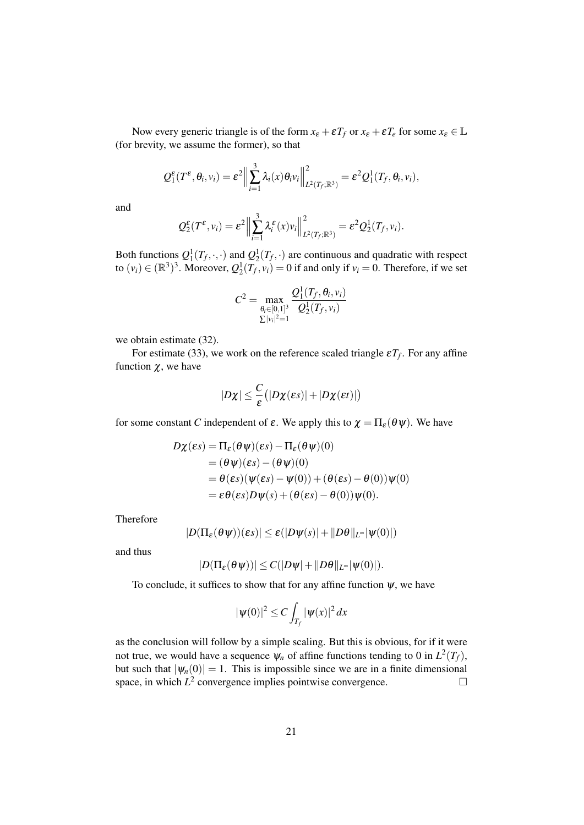Now every generic triangle is of the form  $x_{\varepsilon} + \varepsilon T_f$  or  $x_{\varepsilon} + \varepsilon T_e$  for some  $x_{\varepsilon} \in \mathbb{L}$ (for brevity, we assume the former), so that

$$
Q_1^{\varepsilon}(T^{\varepsilon},\theta_i,v_i)=\varepsilon^2\Big\|\sum_{i=1}^3\lambda_i(x)\theta_iv_i\Big\|^2_{L^2(T_f;\mathbb{R}^3)}=\varepsilon^2Q_1^1(T_f,\theta_i,v_i),
$$

and

$$
Q_2^{\varepsilon}(T^{\varepsilon}, v_i) = \varepsilon^2 \Big\| \sum_{i=1}^3 \lambda_i^{\varepsilon}(x) v_i \Big\|_{L^2(T_f; \mathbb{R}^3)}^2 = \varepsilon^2 Q_2^1(T_f, v_i).
$$

Both functions  $Q_1^1(T_f, \cdot, \cdot)$  and  $Q_2^1(T_f, \cdot)$  are continuous and quadratic with respect to  $(v_i) \in (\mathbb{R}^3)^3$ . Moreover,  $Q_2^1(T_f, v_i) = 0$  if and only if  $v_i = 0$ . Therefore, if we set

$$
C^{2} = \max_{\substack{\theta_{i} \in [0,1]^{3} \\ \sum |v_{i}|^{2}=1}} \frac{Q_{1}^{1}(T_{f}, \theta_{i}, v_{i})}{Q_{2}^{1}(T_{f}, v_{i})}
$$

we obtain estimate (32).

For estimate (33), we work on the reference scaled triangle  $\epsilon T_f$ . For any affine function  $\chi$ , we have

$$
|D\chi| \leq \frac{C}{\varepsilon} (|D\chi(\varepsilon s)| + |D\chi(\varepsilon t)|)
$$

for some constant *C* independent of  $\varepsilon$ . We apply this to  $\chi = \Pi_{\varepsilon}(\theta \psi)$ . We have

$$
D\chi(\varepsilon s) = \Pi_{\varepsilon}(\theta \psi)(\varepsilon s) - \Pi_{\varepsilon}(\theta \psi)(0)
$$
  
= (\theta \psi)(\varepsilon s) - (\theta \psi)(0)  
= \theta(\varepsilon s)(\psi(\varepsilon s) - \psi(0)) + (\theta(\varepsilon s) - \theta(0))\psi(0)  
= \varepsilon \theta(\varepsilon s)D\psi(s) + (\theta(\varepsilon s) - \theta(0))\psi(0).

Therefore

$$
|D(\Pi_{\varepsilon}(\theta \psi))(\varepsilon s)| \leq \varepsilon (|D\psi(s)| + ||D\theta||_{L^{\infty}}|\psi(0)|)
$$

and thus

$$
|D(\Pi_{\varepsilon}(\theta \psi))| \leq C(|D\psi| + ||D\theta||_{L^{\infty}}|\psi(0)|).
$$

To conclude, it suffices to show that for any affine function  $\psi$ , we have

$$
|\psi(0)|^2 \leq C \int_{T_f} |\psi(x)|^2 dx
$$

as the conclusion will follow by a simple scaling. But this is obvious, for if it were not true, we would have a sequence  $\psi_n$  of affine functions tending to 0 in  $L^2(T_f)$ , but such that  $|\psi_n(0)| = 1$ . This is impossible since we are in a finite dimensional space, in which  $L^2$  convergence implies pointwise convergence.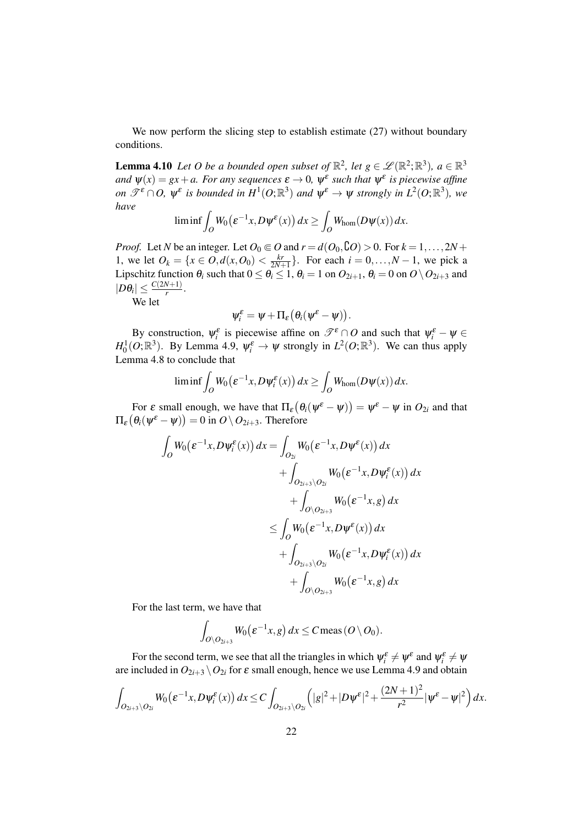We now perform the slicing step to establish estimate (27) without boundary conditions.

**Lemma 4.10** Let O be a bounded open subset of  $\mathbb{R}^2$ , let  $g \in \mathscr{L}(\mathbb{R}^2; \mathbb{R}^3)$ ,  $a \in \mathbb{R}^3$ *and*  $\psi(x) = gx + a$ . For any sequences  $\varepsilon \to 0$ ,  $\psi^{\varepsilon}$  such that  $\psi^{\varepsilon}$  is piecewise affine *on*  $\mathscr{T}^{\varepsilon} \cap O$ ,  $\psi^{\varepsilon}$  *is bounded in*  $H^1(O;\mathbb{R}^3)$  *and*  $\psi^{\varepsilon} \to \psi$  *strongly in*  $L^2(O;\mathbb{R}^3)$ *, we have*

$$
\liminf \int_{O} W_0\big(\varepsilon^{-1}x, D\Psi^{\varepsilon}(x)\big)\,dx \ge \int_{O} W_{\text{hom}}(D\Psi(x))\,dx.
$$

*Proof.* Let *N* be an integer. Let  $O_0 \in O$  and  $r = d(O_0, \complement O) > 0$ . For  $k = 1, \ldots, 2N + 1$ 1, we let  $O_k = \{x \in O, d(x, O_0) < \frac{kr}{2N+1}\}$  $\frac{k}{2N+1}$ . For each  $i = 0, \ldots, N-1$ , we pick a Lipschitz function  $\theta_i$  such that  $0 \le \theta_i \le 1$ ,  $\theta_i = 1$  on  $O_{2i+1}$ ,  $\theta_i = 0$  on  $O \setminus O_{2i+3}$  and  $|D\theta_i| \leq \frac{C(2N+1)}{r}$ .

We let

$$
\psi_i^{\varepsilon} = \psi + \Pi_{\varepsilon} \big( \theta_i (\psi^{\varepsilon} - \psi) \big).
$$

By construction,  $\psi_i^{\varepsilon}$  is piecewise affine on  $\mathcal{T}^{\varepsilon} \cap O$  and such that  $\psi_i^{\varepsilon} - \psi \in$ *H*<sup>1</sup><sub>0</sub>(*O*;  $\mathbb{R}^3$ ). By Lemma 4.9,  $\psi_i^{\varepsilon} \to \psi$  strongly in  $L^2(O; \mathbb{R}^3)$ . We can thus apply Lemma 4.8 to conclude that

$$
\liminf \int_O W_0\big(\varepsilon^{-1}x, D\psi_i^{\varepsilon}(x)\big)\,dx \ge \int_O W_{\text{hom}}(D\psi(x))\,dx.
$$

For  $\varepsilon$  small enough, we have that  $\Pi_{\varepsilon}(\theta_i(\psi^{\varepsilon}-\psi))=\psi^{\varepsilon}-\psi$  in  $O_{2i}$  and that  $\Pi_{\varepsilon} \big(\theta_i (\psi^{\varepsilon} - \psi) \big) = 0$  in  $O \setminus O_{2i+3}$ . Therefore

$$
\int_{O} W_{0}(\varepsilon^{-1}x, D\Psi_{i}^{\varepsilon}(x)) dx = \int_{O_{2i}} W_{0}(\varepsilon^{-1}x, D\Psi^{\varepsilon}(x)) dx \n+ \int_{O_{2i+3}\setminus O_{2i}} W_{0}(\varepsilon^{-1}x, D\Psi_{i}^{\varepsilon}(x)) dx \n+ \int_{O\setminus O_{2i+3}} W_{0}(\varepsilon^{-1}x, g) dx \n\leq \int_{O} W_{0}(\varepsilon^{-1}x, D\Psi^{\varepsilon}(x)) dx \n+ \int_{O_{2i+3}\setminus O_{2i}} W_{0}(\varepsilon^{-1}x, D\Psi_{i}^{\varepsilon}(x)) dx \n+ \int_{O\setminus O_{2i+3}} W_{0}(\varepsilon^{-1}x, g) dx
$$

For the last term, we have that

$$
\int_{O\setminus O_{2i+3}} W_0\big(\varepsilon^{-1}x,g\big)\,dx \leq C \operatorname{meas}(O\setminus O_0).
$$

For the second term, we see that all the triangles in which  $\psi_i^{\varepsilon} \neq \psi^{\varepsilon}$  and  $\psi_i^{\varepsilon} \neq \psi$ are included in  $O_{2i+3} \setminus O_{2i}$  for  $\varepsilon$  small enough, hence we use Lemma 4.9 and obtain

$$
\int_{O_{2i+3}\setminus O_{2i}} W_0\big(\varepsilon^{-1}x, D\psi_i^{\varepsilon}(x)\big) dx \leq C \int_{O_{2i+3}\setminus O_{2i}} \Big(|g|^2 + |D\psi^{\varepsilon}|^2 + \frac{(2N+1)^2}{r^2}|\psi^{\varepsilon} - \psi|^2\Big) dx.
$$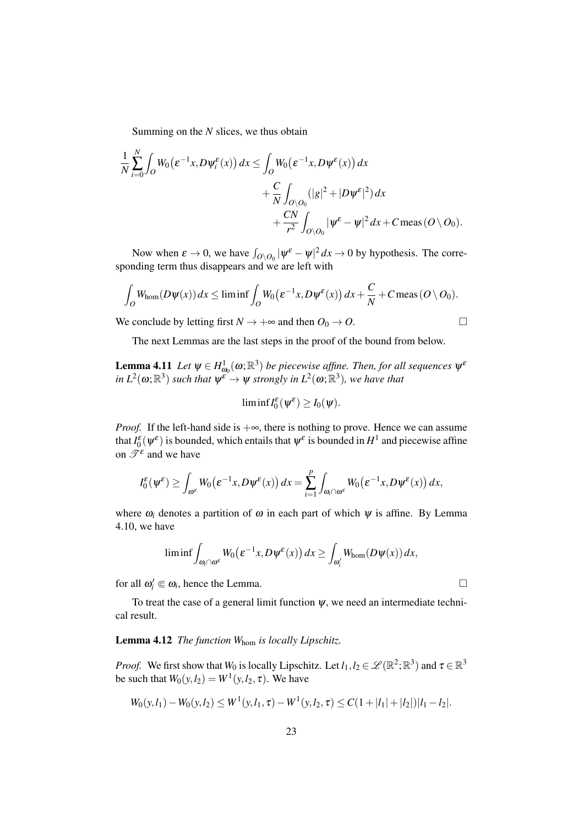Summing on the *N* slices, we thus obtain

$$
\frac{1}{N} \sum_{i=0}^{N} \int_{O} W_0 \left( \varepsilon^{-1} x, D \psi_i^{\varepsilon}(x) \right) dx \le \int_{O} W_0 \left( \varepsilon^{-1} x, D \psi^{\varepsilon}(x) \right) dx \n+ \frac{C}{N} \int_{O \setminus O_0} (|g|^2 + |D \psi^{\varepsilon}|^2) dx \n+ \frac{CN}{r^2} \int_{O \setminus O_0} |\psi^{\varepsilon} - \psi|^2 dx + C \operatorname{meas} (O \setminus O_0).
$$

Now when  $\varepsilon \to 0$ , we have  $\int_{O\setminus O_0} |\psi^{\varepsilon} - \psi|^2 dx \to 0$  by hypothesis. The corresponding term thus disappears and we are left with

$$
\int_O W_{\text{hom}}(D\psi(x)) dx \le \liminf \int_O W_0\big(\varepsilon^{-1}x, D\psi^{\varepsilon}(x)\big) dx + \frac{C}{N} + C \operatorname{meas}(O\setminus O_0).
$$

We conclude by letting first  $N \to +\infty$  and then  $O_0 \to O$ .

The next Lemmas are the last steps in the proof of the bound from below.

**Lemma 4.11** Let  $\psi \in H^1_{\omega_0}(\omega;\mathbb{R}^3)$  be piecewise affine. Then, for all sequences  $\psi^{\epsilon}$ in  $L^2(\omega;\mathbb{R}^3)$  such that  $\psi^{\varepsilon} \to \psi$  strongly in  $L^2(\omega;\mathbb{R}^3)$ , we have that

$$
\liminf I_0^{\varepsilon}(\psi^{\varepsilon})\geq I_0(\psi).
$$

*Proof.* If the left-hand side is  $+\infty$ , there is nothing to prove. Hence we can assume that  $I_0^{\varepsilon}(\psi^{\varepsilon})$  is bounded, which entails that  $\psi^{\varepsilon}$  is bounded in  $H^1$  and piecewise affine on  $\mathscr{T}^{\varepsilon}$  and we have

$$
I_0^{\varepsilon}(\psi^{\varepsilon}) \geq \int_{\omega^{\varepsilon}} W_0\big(\varepsilon^{-1}x, D\psi^{\varepsilon}(x)\big) dx = \sum_{i=1}^p \int_{\omega_i \cap \omega^{\varepsilon}} W_0\big(\varepsilon^{-1}x, D\psi^{\varepsilon}(x)\big) dx,
$$

where  $\omega_i$  denotes a partition of  $\omega$  in each part of which  $\psi$  is affine. By Lemma 4.10, we have

$$
\liminf \int_{\omega_i \cap \omega^{\varepsilon}} W_0\big(\varepsilon^{-1}x, D \psi^{\varepsilon}(x)\big) dx \ge \int_{\omega'_i} W_{\text{hom}}(D \psi(x)) dx,
$$

for all  $\omega_i' \in \omega_i$ , hence the Lemma.

To treat the case of a general limit function  $\psi$ , we need an intermediate technical result.

## Lemma 4.12 *The function W*hom *is locally Lipschitz.*

*Proof.* We first show that  $W_0$  is locally Lipschitz. Let  $l_1, l_2 \in \mathcal{L}(\mathbb{R}^2; \mathbb{R}^3)$  and  $\tau \in \mathbb{R}^3$ be such that  $W_0(y, l_2) = W^1(y, l_2, \tau)$ . We have

$$
W_0(y, l_1) - W_0(y, l_2) \leq W^1(y, l_1, \tau) - W^1(y, l_2, \tau) \leq C(1 + |l_1| + |l_2|)|l_1 - l_2|.
$$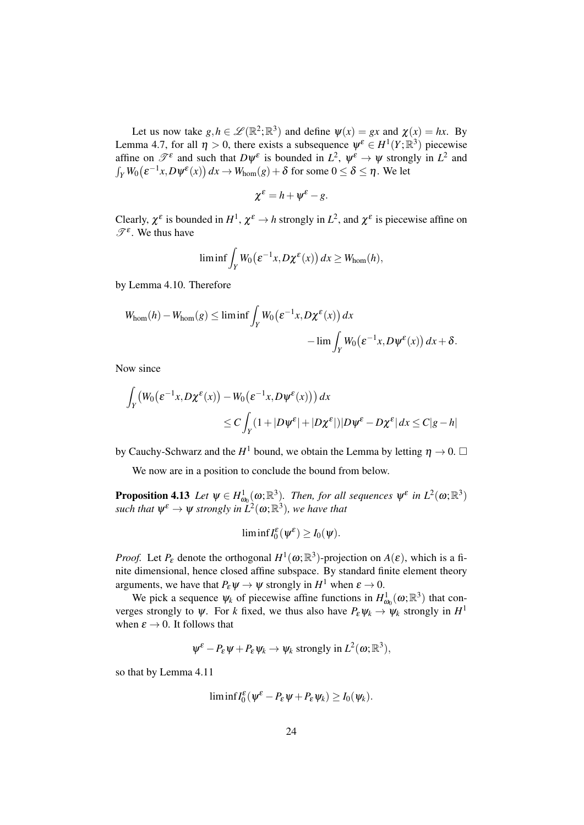Let us now take  $g, h \in \mathcal{L}(\mathbb{R}^2; \mathbb{R}^3)$  and define  $\psi(x) = gx$  and  $\chi(x) = hx$ . By Lemma 4.7, for all  $\eta > 0$ , there exists a subsequence  $\psi^{\varepsilon} \in H^1(Y; \mathbb{R}^3)$  piecewise affine on  $\mathcal{T}^{\varepsilon}$  and such that  $D\psi^{\varepsilon}$  is bounded in  $L^2$ ,  $\psi^{\varepsilon} \to \psi$  strongly in  $L^2$  and  $\int_Y W_0\big(\varepsilon^{-1}x, D\Psi^{\varepsilon}(x)\big) dx \to W_{\rm hom}(g) + \delta$  for some  $0 \le \delta \le \eta$ . We let

$$
\chi^{\varepsilon} = h + \psi^{\varepsilon} - g.
$$

Clearly,  $\chi^{\varepsilon}$  is bounded in  $H^1$ ,  $\chi^{\varepsilon} \to h$  strongly in  $L^2$ , and  $\chi^{\varepsilon}$  is piecewise affine on  $\mathscr{T}^{\varepsilon}$ . We thus have

$$
\liminf \int_Y W_0\big(\varepsilon^{-1}x, D\chi^{\varepsilon}(x)\big)\,dx \geq W_{\text{hom}}(h),
$$

by Lemma 4.10. Therefore

$$
W_{\text{hom}}(h) - W_{\text{hom}}(g) \le \liminf \int_Y W_0(\varepsilon^{-1}x, D\chi^{\varepsilon}(x)) dx
$$
  
 
$$
- \lim \int_Y W_0(\varepsilon^{-1}x, D\psi^{\varepsilon}(x)) dx + \delta.
$$

Now since

$$
\int_{Y} \left( W_0 \left( \varepsilon^{-1} x, D \chi^{\varepsilon}(x) \right) - W_0 \left( \varepsilon^{-1} x, D \psi^{\varepsilon}(x) \right) \right) dx
$$
\n
$$
\leq C \int_{Y} \left( 1 + |D \psi^{\varepsilon}| + |D \chi^{\varepsilon}| \right) |D \psi^{\varepsilon} - D \chi^{\varepsilon}| dx \leq C |g - h|
$$

by Cauchy-Schwarz and the  $H^1$  bound, we obtain the Lemma by letting  $\eta \to 0$ .

We now are in a position to conclude the bound from below.

**Proposition 4.13** Let  $\psi \in H_{\omega_0}^1(\omega;\mathbb{R}^3)$ . Then, for all sequences  $\psi^{\varepsilon}$  in  $L^2(\omega;\mathbb{R}^3)$ such that  $\psi^{\varepsilon} \to \psi$  strongly in  $\mathring{L}^2(\omega;\mathbb{R}^3)$ , we have that

$$
\liminf I_0^{\varepsilon}(\psi^{\varepsilon})\geq I_0(\psi).
$$

*Proof.* Let  $P_{\varepsilon}$  denote the orthogonal  $H^1(\omega;\mathbb{R}^3)$ -projection on  $A(\varepsilon)$ , which is a finite dimensional, hence closed affine subspace. By standard finite element theory arguments, we have that  $P_{\varepsilon} \psi \to \psi$  strongly in  $H^1$  when  $\varepsilon \to 0$ .

We pick a sequence  $\psi_k$  of piecewise affine functions in  $H^1_{\omega_0}(\omega;\mathbb{R}^3)$  that converges strongly to  $\psi$ . For *k* fixed, we thus also have  $P_{\varepsilon} \psi_k \to \psi_k$  strongly in  $H^1$ when  $\varepsilon \to 0$ . It follows that

$$
\psi^{\varepsilon} - P_{\varepsilon} \psi + P_{\varepsilon} \psi_k \to \psi_k \text{ strongly in } L^2(\omega; \mathbb{R}^3),
$$

so that by Lemma 4.11

$$
\liminf I_{0}^{\varepsilon}(\psi^{\varepsilon}-P_{\varepsilon}\psi+P_{\varepsilon}\psi_{k})\geq I_{0}(\psi_{k}).
$$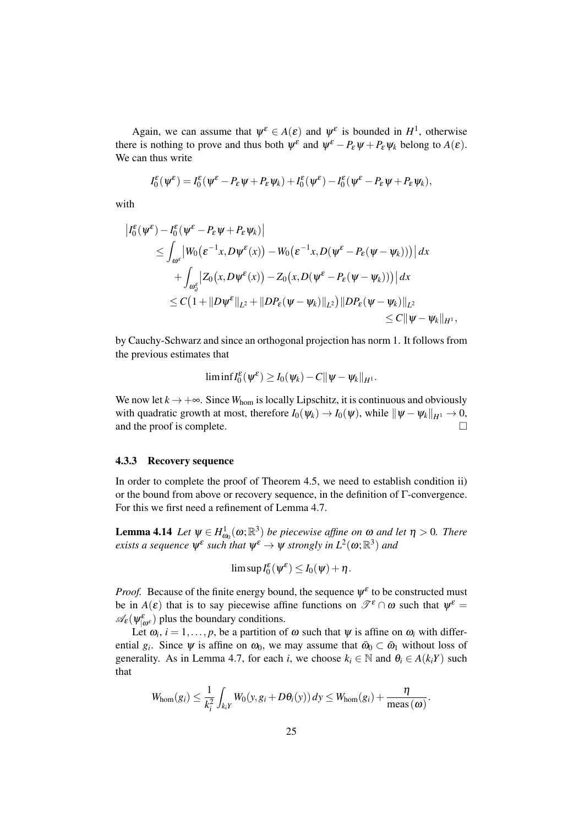Again, we can assume that  $\psi^{\varepsilon} \in A(\varepsilon)$  and  $\psi^{\varepsilon}$  is bounded in  $H^1$ , otherwise there is nothing to prove and thus both  $\psi^{\varepsilon}$  and  $\psi^{\varepsilon} - P_{\varepsilon}\psi + P_{\varepsilon}\psi_k$  belong to  $A(\varepsilon)$ . We can thus write

$$
I_0^{\varepsilon}(\psi^{\varepsilon}) = I_0^{\varepsilon}(\psi^{\varepsilon} - P_{\varepsilon}\psi + P_{\varepsilon}\psi_k) + I_0^{\varepsilon}(\psi^{\varepsilon}) - I_0^{\varepsilon}(\psi^{\varepsilon} - P_{\varepsilon}\psi + P_{\varepsilon}\psi_k),
$$

with

$$
\begin{split} \left|I_{0}^{\varepsilon}(\psi^{\varepsilon})-I_{0}^{\varepsilon}(\psi^{\varepsilon}-P_{\varepsilon}\psi+P_{\varepsilon}\psi_{k})\right|\\ &\leq\int_{\omega^{\varepsilon}}\left|W_{0}\left(\varepsilon^{-1}x,D\psi^{\varepsilon}(x)\right)-W_{0}\left(\varepsilon^{-1}x,D(\psi^{\varepsilon}-P_{\varepsilon}(\psi-\psi_{k}))\right)\right|dx\\ &\quad+\int_{\omega_{0}^{\varepsilon}}\left|Z_{0}\left(x,D\psi^{\varepsilon}(x)\right)-Z_{0}\left(x,D(\psi^{\varepsilon}-P_{\varepsilon}(\psi-\psi_{k}))\right)\right|dx\\ &\leq C\left(1+\|D\psi^{\varepsilon}\|_{L^{2}}+\|D P_{\varepsilon}(\psi-\psi_{k})\|_{L^{2}}\right)\|D P_{\varepsilon}(\psi-\psi_{k})\|_{L^{2}}\\ &\leq C\|\psi-\psi_{k}\|_{H^{1}}, \end{split}
$$

by Cauchy-Schwarz and since an orthogonal projection has norm 1. It follows from the previous estimates that

$$
\liminf I_0^{\varepsilon}(\psi^{\varepsilon}) \geq I_0(\psi_k) - C \|\psi - \psi_k\|_{H^1}.
$$

We now let  $k \to +\infty$ . Since  $W_{\text{hom}}$  is locally Lipschitz, it is continuous and obviously with quadratic growth at most, therefore  $I_0(\psi_k) \to I_0(\psi)$ , while  $\|\psi - \psi_k\|_{H^1} \to 0$ , and the proof is complete.

#### 4.3.3 Recovery sequence

In order to complete the proof of Theorem 4.5, we need to establish condition ii) or the bound from above or recovery sequence, in the definition of Γ-convergence. For this we first need a refinement of Lemma 4.7.

**Lemma 4.14** Let  $\psi \in H^1_{\omega_0}(\omega;\mathbb{R}^3)$  be piecewise affine on  $\omega$  and let  $\eta > 0$ . There *exists a sequence*  $\psi^{\varepsilon}$  *such that*  $\psi^{\varepsilon} \to \psi$  *strongly in*  $L^2(\omega;\mathbb{R}^3)$  *and* 

$$
\limsup I_0^{\varepsilon}(\psi^{\varepsilon})\leq I_0(\psi)+\eta.
$$

*Proof.* Because of the finite energy bound, the sequence  $\psi^{\varepsilon}$  to be constructed must be in  $A(\varepsilon)$  that is to say piecewise affine functions on  $\mathscr{F}^{\varepsilon} \cap \omega$  such that  $\psi^{\varepsilon} =$  $\mathscr{A}_{\varepsilon}(\psi_{|\omega^{\varepsilon}}^{\varepsilon})$  plus the boundary conditions.

Let  $\omega_i$ ,  $i = 1, \ldots, p$ , be a partition of  $\omega$  such that  $\psi$  is affine on  $\omega_i$  with differential  $g_i$ . Since  $\psi$  is affine on  $\omega_0$ , we may assume that  $\bar{\omega}_0 \subset \bar{\omega}_1$  without loss of generality. As in Lemma 4.7, for each *i*, we choose  $k_i \in \mathbb{N}$  and  $\theta_i \in A(k_iY)$  such that

$$
W_{\text{hom}}(g_i) \leq \frac{1}{k_i^2} \int_{k_i Y} W_0(y, g_i + D\theta_i(y)) dy \leq W_{\text{hom}}(g_i) + \frac{\eta}{\text{meas}(\omega)}.
$$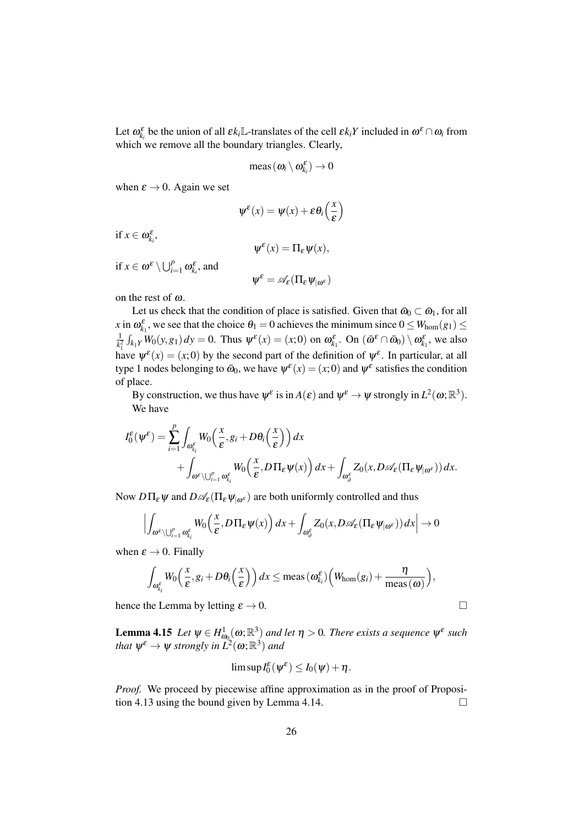Let  $\omega_{k_i}^{\varepsilon}$  be the union of all  $\varepsilon k_i$ L-translates of the cell  $\varepsilon k_i Y$  included in  $\omega^{\varepsilon} \cap \omega_i$  from which we remove all the boundary triangles. Clearly,

$$
\operatorname{meas}(\omega_i \setminus \omega_{k_i}^{\varepsilon}) \to 0
$$

when  $\varepsilon \to 0$ . Again we set

if  $x \in \omega^{\varepsilon} \setminus \bigcup_{i=1}^{p} \omega_{k_i}^{\varepsilon}$ , and

$$
\psi^{\varepsilon}(x) = \psi(x) + \varepsilon \theta_i\left(\frac{x}{\varepsilon}\right)
$$

if  $x \in \omega_{k_i}^{\varepsilon}$ ,

$$
\psi^{\varepsilon}(x)=\Pi_{\varepsilon}\psi(x),
$$

$$
\psi^\epsilon = \mathscr{A}_\epsilon(\Pi_\epsilon \psi_{|\omega^\epsilon})
$$

on the rest of ω.

Let us check that the condition of place is satisfied. Given that  $\bar{\omega}_0 \subset \bar{\omega}_1$ , for all *x* in  $\omega_{k_1}^{\varepsilon}$ , we see that the choice  $\theta_1 = 0$  achieves the minimum since  $0 \leq W_{\text{hom}}(g_1) \leq$ 1  $\frac{1}{k_1^2} \int_{k_1Y} W_0(y, g_1) dy = 0$ . Thus  $\psi^{\varepsilon}(x) = (x; 0)$  on  $\omega_{k_1}^{\varepsilon}$ . On  $(\bar{\omega}^{\varepsilon} \cap \bar{\omega}_0) \setminus \omega_{k_1}^{\varepsilon}$ , we also have  $\psi^{\epsilon}(x) = (x, 0)$  by the second part of the definition of  $\psi^{\epsilon}$ . In particular, at all type 1 nodes belonging to  $\bar{\omega}_0$ , we have  $\psi^{\epsilon}(x) = (x; 0)$  and  $\psi^{\epsilon}$  satisfies the condition of place.

By construction, we thus have  $\psi^{\varepsilon}$  is in  $A(\varepsilon)$  and  $\psi^{\varepsilon} \to \psi$  strongly in  $L^2(\omega;\mathbb{R}^3)$ . We have

$$
I_0^{\varepsilon}(\psi^{\varepsilon}) = \sum_{i=1}^p \int_{\omega_{k_i}^{\varepsilon}} W_0\left(\frac{x}{\varepsilon}, g_i + D\theta_i\left(\frac{x}{\varepsilon}\right)\right) dx + \int_{\omega^{\varepsilon} \setminus \bigcup_{i=1}^p \omega_{k_i}^{\varepsilon}} W_0\left(\frac{x}{\varepsilon}, D\Pi_{\varepsilon}\psi(x)\right) dx + \int_{\omega_{\partial}^{\varepsilon}} Z_0(x, D\mathscr{A}_{\varepsilon}(\Pi_{\varepsilon}\psi_{|\omega^{\varepsilon}})) dx.
$$

Now  $D\Pi_{\varepsilon}\psi$  and  $D\mathcal{A}_{\varepsilon}(\Pi_{\varepsilon}\psi_{|\omega_{\varepsilon}})$  are both uniformly controlled and thus

$$
\Bigl|\int_{\omega^{\varepsilon}\setminus\bigcup_{i=1}^{p}\omega_{k_i}^{\varepsilon}}W_0\Bigl(\frac{x}{\varepsilon},D\Pi_{\varepsilon}\psi(x)\Bigr)\,dx+\int_{\omega_{\partial}^{\varepsilon}}Z_0(x,D\mathscr{A}_{\varepsilon}(\Pi_{\varepsilon}\psi_{|\omega^{\varepsilon}}))\,dx\Bigr|\to 0
$$

when  $\varepsilon \to 0$ . Finally

$$
\int_{\omega_{k_i}^{\varepsilon}} W_0\Big(\frac{x}{\varepsilon}, g_i + D\theta_i\Big(\frac{x}{\varepsilon}\Big)\Big) dx \leq \text{meas} \left(\omega_{k_i}^{\varepsilon}\right) \Big(W_{\text{hom}}(g_i) + \frac{\eta}{\text{meas}(\omega)}\Big),
$$

hence the Lemma by letting  $\varepsilon \to 0$ .

**Lemma 4.15** Let  $\psi \in H_{\omega_0}^1(\omega;\mathbb{R}^3)$  and let  $\eta > 0$ . There exists a sequence  $\psi^{\varepsilon}$  such that  $\psi^{\varepsilon} \to \psi$  strongly in  $L^2(\omega; \mathbb{R}^3)$  and

$$
\limsup I_0^{\varepsilon}(\psi^{\varepsilon}) \leq I_0(\psi) + \eta.
$$

*Proof.* We proceed by piecewise affine approximation as in the proof of Proposition 4.13 using the bound given by Lemma 4.14.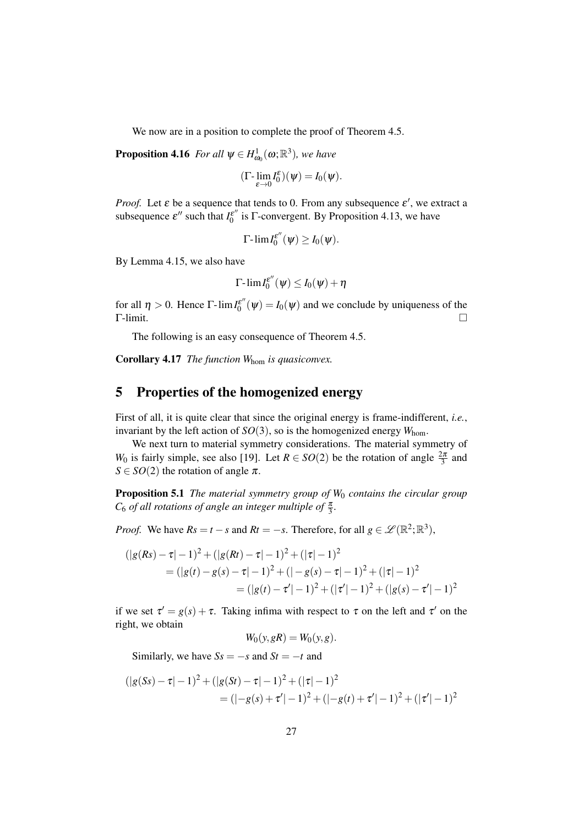We now are in a position to complete the proof of Theorem 4.5.

**Proposition 4.16** *For all*  $\psi \in H_{\omega_0}^1(\omega;\mathbb{R}^3)$ *, we have* 

$$
(\Gamma\text{-}\lim_{\varepsilon\to 0}I^\varepsilon_0)(\psi)=I_0(\psi).
$$

*Proof.* Let  $\varepsilon$  be a sequence that tends to 0. From any subsequence  $\varepsilon'$ , we extract a subsequence  $\varepsilon''$  such that  $I_0^{\varepsilon''}$  $\int_0^{\epsilon}$  is  $\Gamma$ -convergent. By Proposition 4.13, we have

$$
\Gamma\text{-}\lim I_0^{\epsilon''}(\psi)\geq I_0(\psi).
$$

By Lemma 4.15, we also have

$$
\Gamma\hbox{-}\lim I_0^{\epsilon''}(\psi)\leq I_0(\psi)+\eta
$$

for all  $\eta > 0$ . Hence  $\Gamma$ - $\lim I_0^{\varepsilon}$ <sup>*''*</sup>  $I_0^{\epsilon''}(\psi) = I_0(\psi)$  and we conclude by uniqueness of the  $\Gamma$ -limit.  $\Box$ 

The following is an easy consequence of Theorem 4.5.

Corollary 4.17 *The function W*hom *is quasiconvex.*

# 5 Properties of the homogenized energy

First of all, it is quite clear that since the original energy is frame-indifferent, *i.e.*, invariant by the left action of  $SO(3)$ , so is the homogenized energy  $W_{\text{hom}}$ .

We next turn to material symmetry considerations. The material symmetry of *W*<sup>0</sup> is fairly simple, see also [19]. Let  $R \in SO(2)$  be the rotation of angle  $\frac{2\pi}{3}$  and  $S \in SO(2)$  the rotation of angle  $\pi$ .

**Proposition 5.1** *The material symmetry group of*  $W_0$  *contains the circular group*  $C_6$  *of all rotations of angle an integer multiple of*  $\frac{\pi}{3}$ *.* 

*Proof.* We have  $Rs = t - s$  and  $Rt = -s$ . Therefore, for all  $g \in \mathcal{L}(\mathbb{R}^2; \mathbb{R}^3)$ ,

$$
(|g(Rs) - \tau| - 1)^2 + (|g(Rt) - \tau| - 1)^2 + (|\tau| - 1)^2
$$
  
= 
$$
(|g(t) - g(s) - \tau| - 1)^2 + (|-g(s) - \tau| - 1)^2 + (|\tau| - 1)^2
$$
  
= 
$$
(|g(t) - \tau'| - 1)^2 + (|\tau'| - 1)^2 + (|g(s) - \tau'| - 1)^2
$$

if we set  $\tau' = g(s) + \tau$ . Taking infima with respect to  $\tau$  on the left and  $\tau'$  on the right, we obtain

$$
W_0(y,gR)=W_0(y,g).
$$

Similarly, we have  $S_s = -s$  and  $St = -t$  and

$$
(|g(Ss) - \tau| - 1)^2 + (|g(St) - \tau| - 1)^2 + (|\tau| - 1)^2
$$
  
=  $(|-g(s) + \tau'|-1)^2 + (|-g(t) + \tau'|-1)^2 + (|\tau'|-1)^2$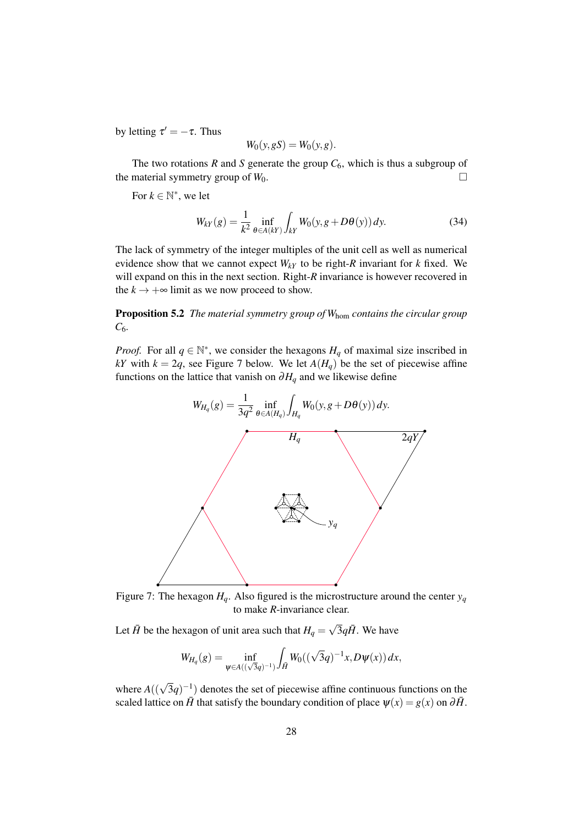by letting  $\tau' = -\tau$ . Thus

$$
W_0(y, gS) = W_0(y, g).
$$

The two rotations  $R$  and  $S$  generate the group  $C_6$ , which is thus a subgroup of the material symmetry group of  $W_0$ .

For  $k \in \mathbb{N}^*$ , we let

$$
W_{kY}(g) = \frac{1}{k^2} \inf_{\theta \in A(kY)} \int_{kY} W_0(y, g + D\theta(y)) \, dy. \tag{34}
$$

The lack of symmetry of the integer multiples of the unit cell as well as numerical evidence show that we cannot expect  $W_{kY}$  to be right-*R* invariant for *k* fixed. We will expand on this in the next section. Right-*R* invariance is however recovered in the  $k \rightarrow +\infty$  limit as we now proceed to show.

Proposition 5.2 *The material symmetry group of W*hom *contains the circular group C*6*.*

*Proof.* For all  $q \in \mathbb{N}^*$ , we consider the hexagons  $H_q$  of maximal size inscribed in *kY* with  $k = 2q$ , see Figure 7 below. We let  $A(H_q)$  be the set of piecewise affine functions on the lattice that vanish on ∂*H<sup>q</sup>* and we likewise define



Figure 7: The hexagon  $H_q$ . Also figured is the microstructure around the center  $y_q$ to make *R*-invariance clear.

Let  $\bar{H}$  be the hexagon of unit area such that  $H_q = \sqrt{3}q\bar{H}$ . We have

$$
W_{H_q}(g) = \inf_{\psi \in A((\sqrt{3}q)^{-1})} \int_{\bar{H}} W_0((\sqrt{3}q)^{-1}x, D\psi(x)) dx,
$$

where  $A((\sqrt{3}q)^{-1})$  denotes the set of piecewise affine continuous functions on the scaled lattice on  $\overline{H}$  that satisfy the boundary condition of place  $\psi(x) = g(x)$  on  $\partial \overline{H}$ .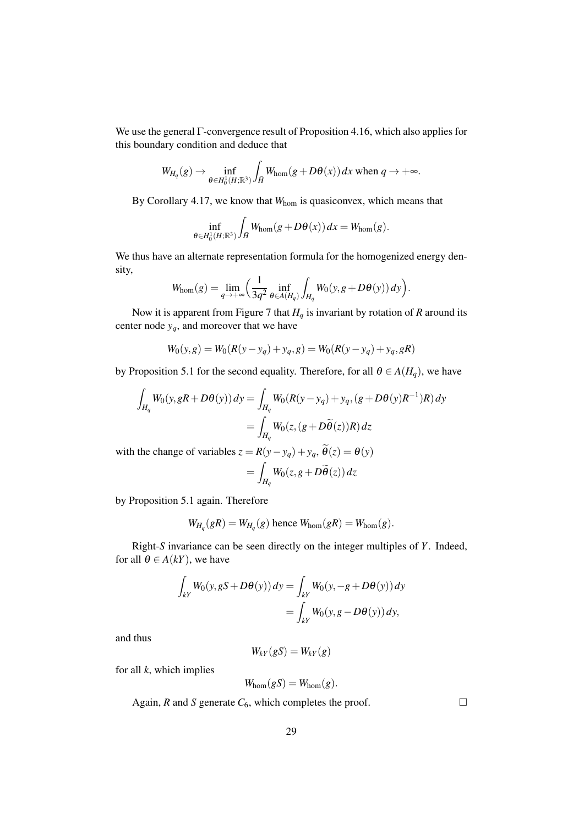We use the general Γ-convergence result of Proposition 4.16, which also applies for this boundary condition and deduce that

$$
W_{H_q}(g) \to \inf_{\theta \in H_0^1(H; \mathbb{R}^3)} \int_{\overline{H}} W_{\text{hom}}(g + D\theta(x)) dx \text{ when } q \to +\infty.
$$

By Corollary 4.17, we know that *W*hom is quasiconvex, which means that

$$
\inf_{\theta \in H_0^1(H; \mathbb{R}^3)} \int_{\bar{H}} W_{\text{hom}}(g + D\theta(x)) dx = W_{\text{hom}}(g).
$$

We thus have an alternate representation formula for the homogenized energy density,

$$
W_{\text{hom}}(g) = \lim_{q \to +\infty} \left( \frac{1}{3q^2} \inf_{\theta \in A(H_q)} \int_{H_q} W_0(y, g + D\theta(y)) \, dy \right).
$$

Now it is apparent from Figure 7 that  $H_q$  is invariant by rotation of *R* around its center node  $y_q$ , and moreover that we have

$$
W_0(y, g) = W_0(R(y - y_q) + y_q, g) = W_0(R(y - y_q) + y_q, gR)
$$

by Proposition 5.1 for the second equality. Therefore, for all  $\theta \in A(H_q)$ , we have

$$
\int_{H_q} W_0(y, gR + D\theta(y)) dy = \int_{H_q} W_0(R(y - y_q) + y_q, (g + D\theta(y)R^{-1})R) dy
$$
  
\n
$$
= \int_{H_q} W_0(z, (g + D\tilde{\theta}(z))R) dz
$$
  
\nwith the change of variables  $z = R(y - y_q) + y_q$ ,  $\tilde{\theta}(z) = \theta(y)$   
\n
$$
= \int_{H_q} W_0(z, g + D\tilde{\theta}(z)) dz
$$

by Proposition 5.1 again. Therefore

$$
W_{H_q}(gR) = W_{H_q}(g) \text{ hence } W_{\text{hom}}(gR) = W_{\text{hom}}(g).
$$

Right-*S* invariance can be seen directly on the integer multiples of *Y*. Indeed, for all  $\theta \in A(kY)$ , we have

$$
\int_{kY} W_0(y, gS + D\theta(y)) dy = \int_{kY} W_0(y, -g + D\theta(y)) dy
$$
  
= 
$$
\int_{kY} W_0(y, g - D\theta(y)) dy,
$$

and thus

$$
W_{kY}(gS) = W_{kY}(g)
$$

for all *k*, which implies

$$
W_{\text{hom}}(gS) = W_{\text{hom}}(g).
$$

Again, *R* and *S* generate  $C_6$ , which completes the proof.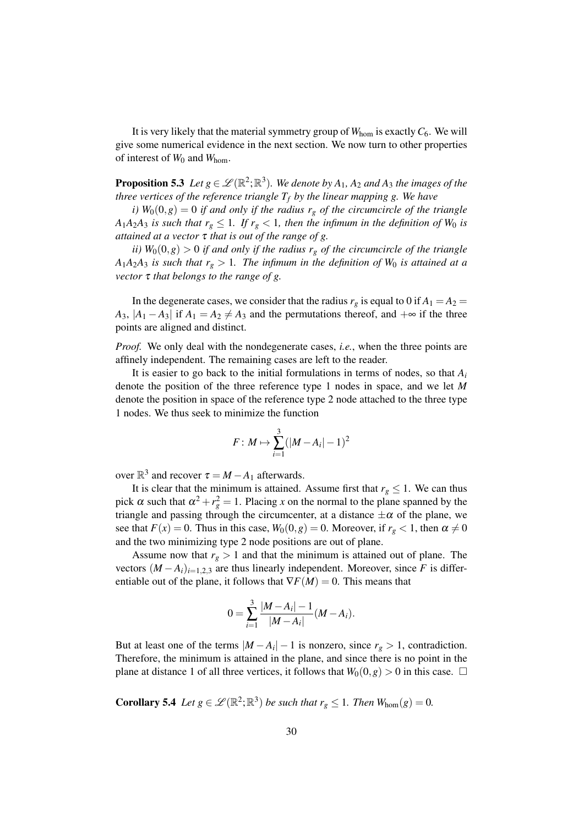It is very likely that the material symmetry group of *W*hom is exactly*C*6. We will give some numerical evidence in the next section. We now turn to other properties of interest of  $W_0$  and  $W_{\text{hom}}$ .

**Proposition 5.3** Let  $g \in \mathcal{L}(\mathbb{R}^2; \mathbb{R}^3)$ . We denote by  $A_1$ ,  $A_2$  and  $A_3$  the images of the *three vertices of the reference triangle T<sup>f</sup> by the linear mapping g. We have*

*i)*  $W_0(0,g) = 0$  *if and only if the radius*  $r_g$  *of the circumcircle of the triangle A*<sub>1</sub>*A*<sub>2</sub>*A*<sub>3</sub> *is such that*  $r_g \leq 1$ *. If*  $r_g < 1$ *, then the infimum in the definition of*  $W_0$  *is attained at a vector* τ *that is out of the range of g.*

*ii)*  $W_0(0,g) > 0$  *if and only if the radius*  $r_g$  *of the circumcircle of the triangle*  $A_1A_2A_3$  *is such that*  $r_g > 1$ *. The infimum in the definition of*  $W_0$  *is attained at a vector* τ *that belongs to the range of g.*

In the degenerate cases, we consider that the radius  $r_g$  is equal to 0 if  $A_1 = A_2$ *A*<sub>3</sub>,  $|A_1 - A_3|$  if  $A_1 = A_2 \neq A_3$  and the permutations thereof, and  $+\infty$  if the three points are aligned and distinct.

*Proof.* We only deal with the nondegenerate cases, *i.e.*, when the three points are affinely independent. The remaining cases are left to the reader.

It is easier to go back to the initial formulations in terms of nodes, so that *A<sup>i</sup>* denote the position of the three reference type 1 nodes in space, and we let *M* denote the position in space of the reference type 2 node attached to the three type 1 nodes. We thus seek to minimize the function

$$
F: M \mapsto \sum_{i=1}^{3} (|M - A_i| - 1)^2
$$

over  $\mathbb{R}^3$  and recover  $\tau = M - A_1$  afterwards.

It is clear that the minimum is attained. Assume first that  $r_g \leq 1$ . We can thus pick  $\alpha$  such that  $\alpha^2 + r_g^2 = 1$ . Placing *x* on the normal to the plane spanned by the triangle and passing through the circumcenter, at a distance  $\pm \alpha$  of the plane, we see that  $F(x) = 0$ . Thus in this case,  $W_0(0,g) = 0$ . Moreover, if  $r_g < 1$ , then  $\alpha \neq 0$ and the two minimizing type 2 node positions are out of plane.

Assume now that  $r_g > 1$  and that the minimum is attained out of plane. The vectors  $(M - A_i)_{i=1,2,3}$  are thus linearly independent. Moreover, since *F* is differentiable out of the plane, it follows that  $\nabla F(M) = 0$ . This means that

$$
0 = \sum_{i=1}^{3} \frac{|M - A_i| - 1}{|M - A_i|} (M - A_i).
$$

But at least one of the terms  $|M - A_i| - 1$  is nonzero, since  $r_g > 1$ , contradiction. Therefore, the minimum is attained in the plane, and since there is no point in the plane at distance 1 of all three vertices, it follows that  $W_0(0, g) > 0$  in this case.  $\Box$ 

**Corollary 5.4** *Let*  $g \in \mathcal{L}(\mathbb{R}^2; \mathbb{R}^3)$  *be such that*  $r_g \leq 1$ *. Then*  $W_{\text{hom}}(g) = 0$ *.*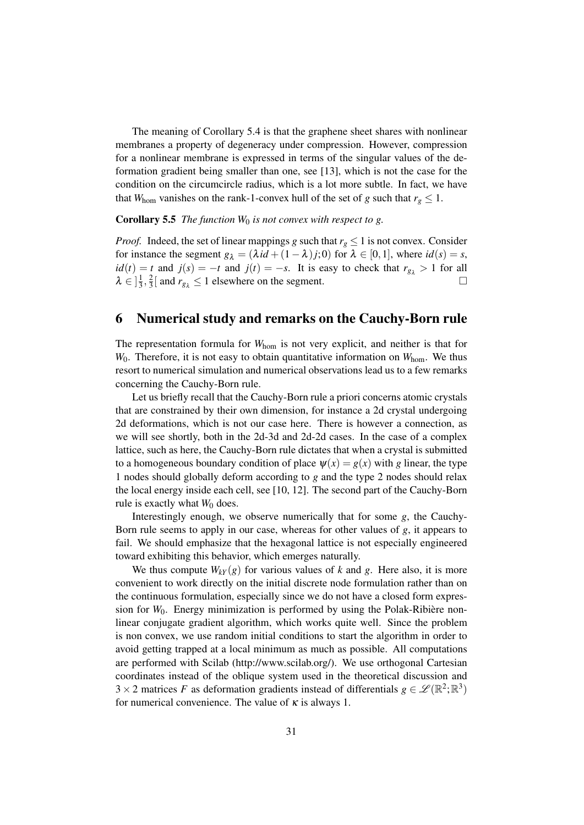The meaning of Corollary 5.4 is that the graphene sheet shares with nonlinear membranes a property of degeneracy under compression. However, compression for a nonlinear membrane is expressed in terms of the singular values of the deformation gradient being smaller than one, see [13], which is not the case for the condition on the circumcircle radius, which is a lot more subtle. In fact, we have that *W*<sub>hom</sub> vanishes on the rank-1-convex hull of the set of *g* such that  $r_g \leq 1$ .

**Corollary 5.5** *The function*  $W_0$  *is not convex with respect to g.* 

*Proof.* Indeed, the set of linear mappings *g* such that  $r_g \le 1$  is not convex. Consider for instance the segment  $g_{\lambda} = (\lambda id + (1 - \lambda)j; 0)$  for  $\lambda \in [0, 1]$ , where  $id(s) = s$ , *id*(*t*) = *t* and *j*(*s*) = −*t* and *j*(*t*) = −*s*. It is easy to check that *r*<sub>*g*λ</sub> > 1 for all  $\lambda \in \left[\frac{1}{2}, \frac{2}{5}\right]$  and *r<sub><i>g*</sub></sub> < 1 elsewhere on the segment.  $\lambda \in \mathcal{g}^1_{\overline{\mathcal{R}}}$  $\frac{1}{3}, \frac{2}{3}$  $\frac{2}{3}$ [ and  $r_{g\lambda} \le 1$  elsewhere on the segment.

# 6 Numerical study and remarks on the Cauchy-Born rule

The representation formula for  $W_{\text{hom}}$  is not very explicit, and neither is that for *W*<sub>0</sub>. Therefore, it is not easy to obtain quantitative information on *W*<sub>hom</sub>. We thus resort to numerical simulation and numerical observations lead us to a few remarks concerning the Cauchy-Born rule.

Let us briefly recall that the Cauchy-Born rule a priori concerns atomic crystals that are constrained by their own dimension, for instance a 2d crystal undergoing 2d deformations, which is not our case here. There is however a connection, as we will see shortly, both in the 2d-3d and 2d-2d cases. In the case of a complex lattice, such as here, the Cauchy-Born rule dictates that when a crystal is submitted to a homogeneous boundary condition of place  $\psi(x) = g(x)$  with *g* linear, the type 1 nodes should globally deform according to *g* and the type 2 nodes should relax the local energy inside each cell, see [10, 12]. The second part of the Cauchy-Born rule is exactly what  $W_0$  does.

Interestingly enough, we observe numerically that for some *g*, the Cauchy-Born rule seems to apply in our case, whereas for other values of *g*, it appears to fail. We should emphasize that the hexagonal lattice is not especially engineered toward exhibiting this behavior, which emerges naturally.

We thus compute  $W_{kY}(g)$  for various values of *k* and *g*. Here also, it is more convenient to work directly on the initial discrete node formulation rather than on the continuous formulation, especially since we do not have a closed form expression for *W*0. Energy minimization is performed by using the Polak-Ribière nonlinear conjugate gradient algorithm, which works quite well. Since the problem is non convex, we use random initial conditions to start the algorithm in order to avoid getting trapped at a local minimum as much as possible. All computations are performed with Scilab (http://www.scilab.org/). We use orthogonal Cartesian coordinates instead of the oblique system used in the theoretical discussion and 3 × 2 matrices *F* as deformation gradients instead of differentials  $g \in \mathcal{L}(\mathbb{R}^2; \mathbb{R}^3)$ for numerical convenience. The value of  $\kappa$  is always 1.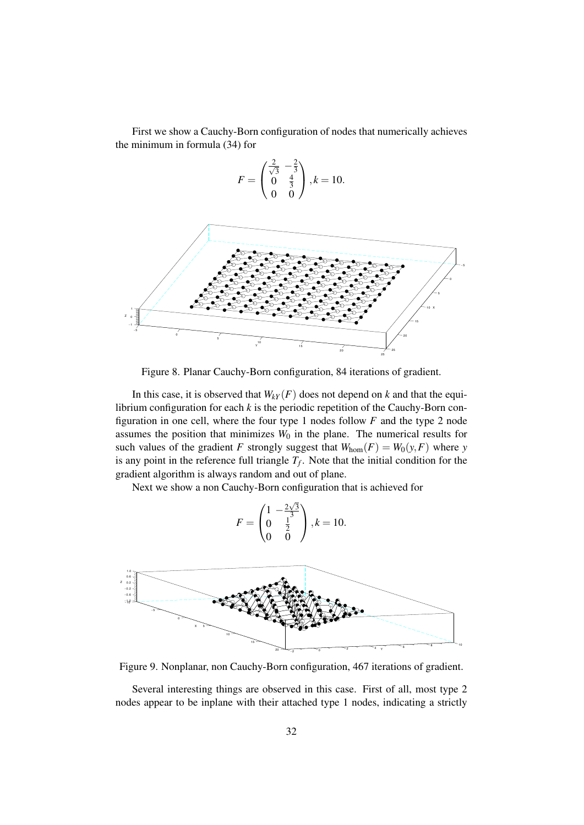First we show a Cauchy-Born configuration of nodes that numerically achieves the minimum in formula (34) for

$$
F = \begin{pmatrix} \frac{2}{\sqrt{3}} & -\frac{2}{3} \\ 0 & \frac{4}{3} \\ 0 & 0 \end{pmatrix}, k = 10.
$$



Figure 8. Planar Cauchy-Born configuration, 84 iterations of gradient.

In this case, it is observed that  $W_{kY}(F)$  does not depend on *k* and that the equilibrium configuration for each *k* is the periodic repetition of the Cauchy-Born configuration in one cell, where the four type 1 nodes follow *F* and the type 2 node assumes the position that minimizes  $W_0$  in the plane. The numerical results for such values of the gradient *F* strongly suggest that  $W_{\text{hom}}(F) = W_0(y, F)$  where *y* is any point in the reference full triangle  $T_f$ . Note that the initial condition for the gradient algorithm is always random and out of plane.

Next we show a non Cauchy-Born configuration that is achieved for

$$
F = \begin{pmatrix} 1 & -\frac{2\sqrt{3}}{3} \\ 0 & \frac{1}{2} \\ 0 & 0 \end{pmatrix}, k = 10.
$$



Figure 9. Nonplanar, non Cauchy-Born configuration, 467 iterations of gradient.

Several interesting things are observed in this case. First of all, most type 2 nodes appear to be inplane with their attached type 1 nodes, indicating a strictly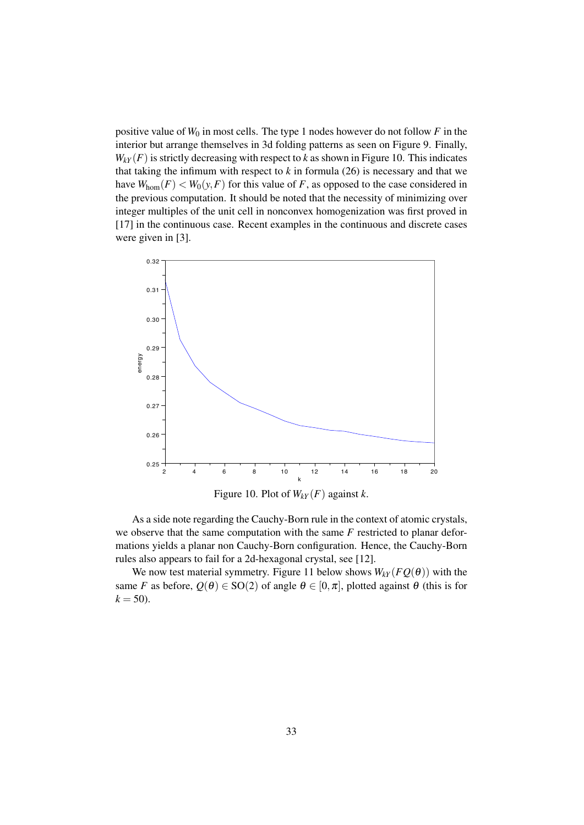positive value of *W*<sup>0</sup> in most cells. The type 1 nodes however do not follow *F* in the interior but arrange themselves in 3d folding patterns as seen on Figure 9. Finally,  $W_{kY}(F)$  is strictly decreasing with respect to *k* as shown in Figure 10. This indicates that taking the infimum with respect to  $k$  in formula (26) is necessary and that we have  $W_{\text{hom}}(F) < W_0(y, F)$  for this value of *F*, as opposed to the case considered in the previous computation. It should be noted that the necessity of minimizing over integer multiples of the unit cell in nonconvex homogenization was first proved in [17] in the continuous case. Recent examples in the continuous and discrete cases were given in [3].



Figure 10. Plot of  $W_{kY}(F)$  against *k*.

As a side note regarding the Cauchy-Born rule in the context of atomic crystals, we observe that the same computation with the same *F* restricted to planar deformations yields a planar non Cauchy-Born configuration. Hence, the Cauchy-Born rules also appears to fail for a 2d-hexagonal crystal, see [12].

We now test material symmetry. Figure 11 below shows  $W_{kY}(FQ(\theta))$  with the same *F* as before,  $Q(\theta) \in SO(2)$  of angle  $\theta \in [0, \pi]$ , plotted against  $\theta$  (this is for  $k = 50$ ).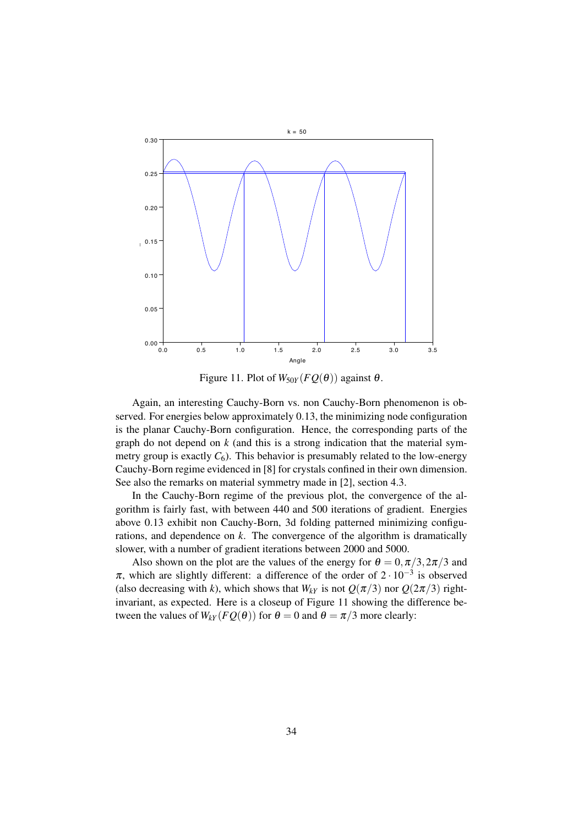

Figure 11. Plot of  $W_{50Y}(FQ(\theta))$  against  $\theta$ .

Again, an interesting Cauchy-Born vs. non Cauchy-Born phenomenon is observed. For energies below approximately 0.13, the minimizing node configuration is the planar Cauchy-Born configuration. Hence, the corresponding parts of the graph do not depend on *k* (and this is a strong indication that the material symmetry group is exactly  $C_6$ ). This behavior is presumably related to the low-energy Cauchy-Born regime evidenced in [8] for crystals confined in their own dimension. See also the remarks on material symmetry made in [2], section 4.3.

In the Cauchy-Born regime of the previous plot, the convergence of the algorithm is fairly fast, with between 440 and 500 iterations of gradient. Energies above 0.13 exhibit non Cauchy-Born, 3d folding patterned minimizing configurations, and dependence on *k*. The convergence of the algorithm is dramatically slower, with a number of gradient iterations between 2000 and 5000.

Also shown on the plot are the values of the energy for  $\theta = 0, \pi/3, 2\pi/3$  and  $\pi$ , which are slightly different: a difference of the order of  $2 \cdot 10^{-3}$  is observed (also decreasing with *k*), which shows that  $W_{kY}$  is not  $Q(\pi/3)$  nor  $Q(2\pi/3)$  rightinvariant, as expected. Here is a closeup of Figure 11 showing the difference between the values of  $W_{kY}(FQ(\theta))$  for  $\theta = 0$  and  $\theta = \pi/3$  more clearly: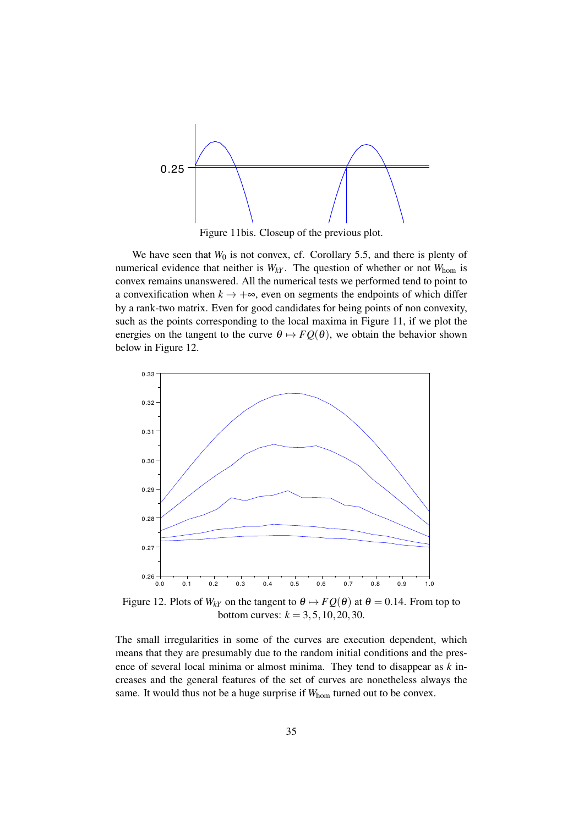

Figure 11bis. Closeup of the previous plot.

a convexification when  $k \rightarrow +\infty$ , even on segments the endpoints of which differ convex remains unanswered. All the numerical tests we performed tend to point to a convexification when  $k \to +\infty$ , even on segments the endpoints of which differ by a rank-two matrix. Even for good candidates for being po We have seen that  $W_0$  is not convex, cf. Corollary 5.5, and there is plenty of numerical evidence that neither is  $W_{kY}$ . The question of whether or not  $W_{hom}$  is convex remains unanswered. All the numerical tests we performed tend to point to such as the points corresponding to the local maxima in Figure 11, if we plot the energies on the tangent to the curve  $\theta \mapsto FQ(\theta)$ , we obtain the behavior shown below in Figure 12.



Figure 12. Plots of  $W_{kY}$  on the tangent to  $\theta \mapsto FQ(\theta)$  at  $\theta = 0.14$ . From top to bottom curves:  $k = 3, 5, 10, 20, 30$ .

The small irregularities in some of the curves are execution dependent, which means that they are presumably due to the random initial conditions and the presence of several local minima or almost minima. They tend to disappear as *k* increases and the general features of the set of curves are nonetheless always the same. It would thus not be a huge surprise if  $W_{\text{hom}}$  turned out to be convex.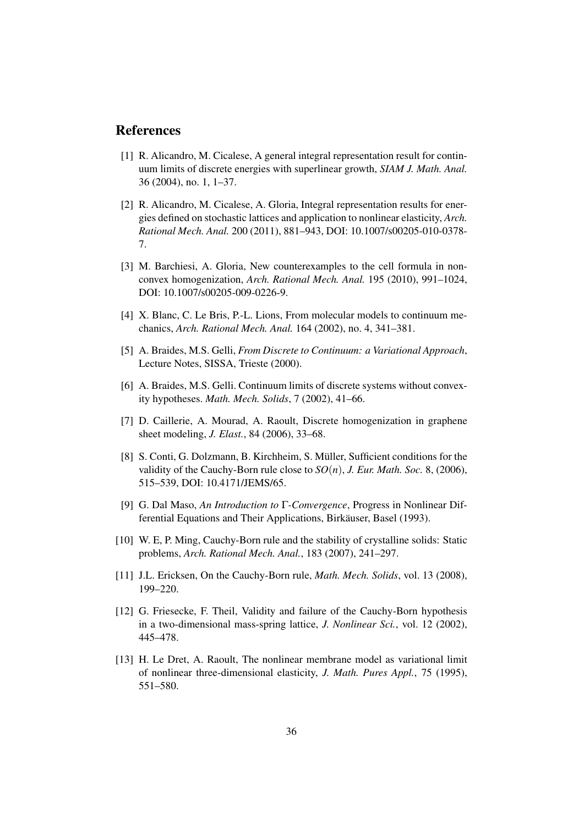## References

- [1] R. Alicandro, M. Cicalese, A general integral representation result for continuum limits of discrete energies with superlinear growth, *SIAM J. Math. Anal.* 36 (2004), no. 1, 1–37.
- [2] R. Alicandro, M. Cicalese, A. Gloria, Integral representation results for energies defined on stochastic lattices and application to nonlinear elasticity, *Arch. Rational Mech. Anal.* 200 (2011), 881–943, DOI: 10.1007/s00205-010-0378- 7.
- [3] M. Barchiesi, A. Gloria, New counterexamples to the cell formula in nonconvex homogenization, *Arch. Rational Mech. Anal.* 195 (2010), 991–1024, DOI: 10.1007/s00205-009-0226-9.
- [4] X. Blanc, C. Le Bris, P.-L. Lions, From molecular models to continuum mechanics, *Arch. Rational Mech. Anal.* 164 (2002), no. 4, 341–381.
- [5] A. Braides, M.S. Gelli, *From Discrete to Continuum: a Variational Approach*, Lecture Notes, SISSA, Trieste (2000).
- [6] A. Braides, M.S. Gelli. Continuum limits of discrete systems without convexity hypotheses. *Math. Mech. Solids*, 7 (2002), 41–66.
- [7] D. Caillerie, A. Mourad, A. Raoult, Discrete homogenization in graphene sheet modeling, *J. Elast.*, 84 (2006), 33–68.
- [8] S. Conti, G. Dolzmann, B. Kirchheim, S. Müller, Sufficient conditions for the validity of the Cauchy-Born rule close to  $SO(n)$ , *J. Eur. Math. Soc.* 8, (2006), 515–539, DOI: 10.4171/JEMS/65.
- [9] G. Dal Maso, *An Introduction to* Γ*-Convergence*, Progress in Nonlinear Differential Equations and Their Applications, Birkäuser, Basel (1993).
- [10] W. E, P. Ming, Cauchy-Born rule and the stability of crystalline solids: Static problems, *Arch. Rational Mech. Anal.*, 183 (2007), 241–297.
- [11] J.L. Ericksen, On the Cauchy-Born rule, *Math. Mech. Solids*, vol. 13 (2008), 199–220.
- [12] G. Friesecke, F. Theil, Validity and failure of the Cauchy-Born hypothesis in a two-dimensional mass-spring lattice, *J. Nonlinear Sci.*, vol. 12 (2002), 445–478.
- [13] H. Le Dret, A. Raoult, The nonlinear membrane model as variational limit of nonlinear three-dimensional elasticity, *J. Math. Pures Appl.*, 75 (1995), 551–580.